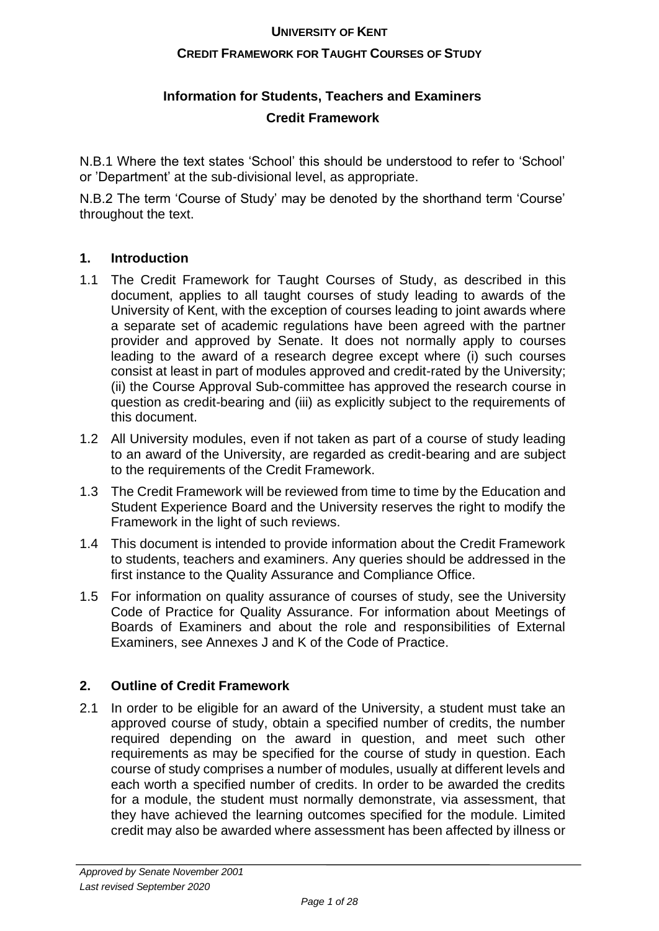## **CREDIT FRAMEWORK FOR TAUGHT COURSES OF STUDY**

## **Information for Students, Teachers and Examiners Credit Framework**

N.B.1 Where the text states 'School' this should be understood to refer to 'School' or 'Department' at the sub-divisional level, as appropriate.

N.B.2 The term 'Course of Study' may be denoted by the shorthand term 'Course' throughout the text.

## **1. Introduction**

- 1.1 The Credit Framework for Taught Courses of Study, as described in this document, applies to all taught courses of study leading to awards of the University of Kent, with the exception of courses leading to joint awards where a separate set of academic regulations have been agreed with the partner provider and approved by Senate. It does not normally apply to courses leading to the award of a research degree except where (i) such courses consist at least in part of modules approved and credit-rated by the University; (ii) the Course Approval Sub-committee has approved the research course in question as credit-bearing and (iii) as explicitly subject to the requirements of this document.
- 1.2 All University modules, even if not taken as part of a course of study leading to an award of the University, are regarded as credit-bearing and are subject to the requirements of the Credit Framework.
- 1.3 The Credit Framework will be reviewed from time to time by the Education and Student Experience Board and the University reserves the right to modify the Framework in the light of such reviews.
- 1.4 This document is intended to provide information about the Credit Framework to students, teachers and examiners. Any queries should be addressed in the first instance to the Quality Assurance and Compliance Office.
- 1.5 For information on quality assurance of courses of study, see the University Code of Practice for Quality Assurance. For information about Meetings of Boards of Examiners and about the role and responsibilities of External Examiners, see Annexes J and K of the Code of Practice.

## **2. Outline of Credit Framework**

2.1 In order to be eligible for an award of the University, a student must take an approved course of study, obtain a specified number of credits, the number required depending on the award in question, and meet such other requirements as may be specified for the course of study in question. Each course of study comprises a number of modules, usually at different levels and each worth a specified number of credits. In order to be awarded the credits for a module, the student must normally demonstrate, via assessment, that they have achieved the learning outcomes specified for the module. Limited credit may also be awarded where assessment has been affected by illness or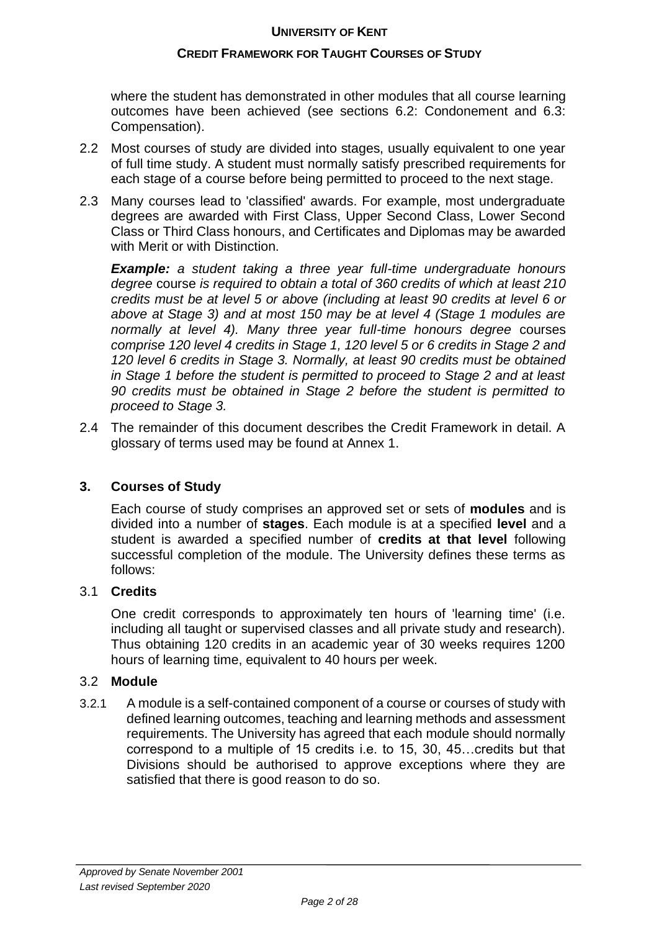## **CREDIT FRAMEWORK FOR TAUGHT COURSES OF STUDY**

where the student has demonstrated in other modules that all course learning outcomes have been achieved (see sections 6.2: Condonement and 6.3: Compensation).

- 2.2 Most courses of study are divided into stages, usually equivalent to one year of full time study. A student must normally satisfy prescribed requirements for each stage of a course before being permitted to proceed to the next stage.
- 2.3 Many courses lead to 'classified' awards. For example, most undergraduate degrees are awarded with First Class, Upper Second Class, Lower Second Class or Third Class honours, and Certificates and Diplomas may be awarded with Merit or with Distinction.

*Example: a student taking a three year full-time undergraduate honours degree* course *is required to obtain a total of 360 credits of which at least 210 credits must be at level 5 or above (including at least 90 credits at level 6 or above at Stage 3) and at most 150 may be at level 4 (Stage 1 modules are normally at level 4). Many three year full-time honours degree* courses *comprise 120 level 4 credits in Stage 1, 120 level 5 or 6 credits in Stage 2 and 120 level 6 credits in Stage 3. Normally, at least 90 credits must be obtained in Stage 1 before the student is permitted to proceed to Stage 2 and at least 90 credits must be obtained in Stage 2 before the student is permitted to proceed to Stage 3.*

2.4 The remainder of this document describes the Credit Framework in detail. A glossary of terms used may be found at Annex 1.

## **3. Courses of Study**

Each course of study comprises an approved set or sets of **modules** and is divided into a number of **stages**. Each module is at a specified **level** and a student is awarded a specified number of **credits at that level** following successful completion of the module. The University defines these terms as follows:

#### 3.1 **Credits**

One credit corresponds to approximately ten hours of 'learning time' (i.e. including all taught or supervised classes and all private study and research). Thus obtaining 120 credits in an academic year of 30 weeks requires 1200 hours of learning time, equivalent to 40 hours per week.

#### 3.2 **Module**

3.2.1 A module is a self-contained component of a course or courses of study with defined learning outcomes, teaching and learning methods and assessment requirements. The University has agreed that each module should normally correspond to a multiple of 15 credits i.e. to 15, 30, 45…credits but that Divisions should be authorised to approve exceptions where they are satisfied that there is good reason to do so.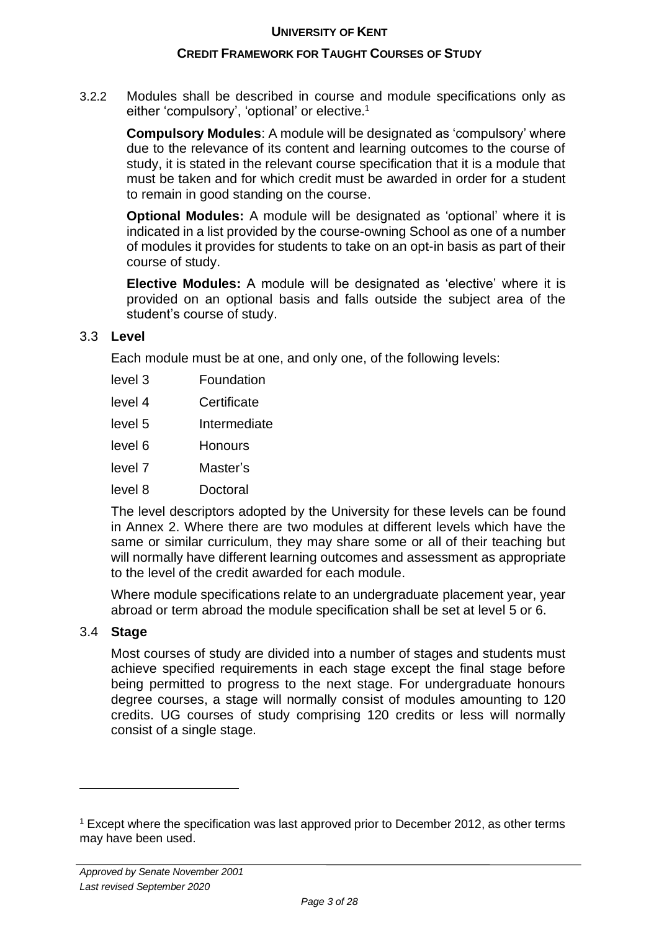#### **CREDIT FRAMEWORK FOR TAUGHT COURSES OF STUDY**

3.2.2 Modules shall be described in course and module specifications only as either 'compulsory', 'optional' or elective. 1

**Compulsory Modules**: A module will be designated as 'compulsory' where due to the relevance of its content and learning outcomes to the course of study, it is stated in the relevant course specification that it is a module that must be taken and for which credit must be awarded in order for a student to remain in good standing on the course.

**Optional Modules:** A module will be designated as 'optional' where it is indicated in a list provided by the course-owning School as one of a number of modules it provides for students to take on an opt-in basis as part of their course of study.

**Elective Modules:** A module will be designated as 'elective' where it is provided on an optional basis and falls outside the subject area of the student's course of study.

#### 3.3 **Level**

Each module must be at one, and only one, of the following levels:

- level 3 Foundation
- level 4 Certificate
- level 5 Intermediate
- level 6 Honours
- level 7 Master's
- level 8 Doctoral

The level descriptors adopted by the University for these levels can be found in Annex 2. Where there are two modules at different levels which have the same or similar curriculum, they may share some or all of their teaching but will normally have different learning outcomes and assessment as appropriate to the level of the credit awarded for each module.

Where module specifications relate to an undergraduate placement year, year abroad or term abroad the module specification shall be set at level 5 or 6.

#### 3.4 **Stage**

Most courses of study are divided into a number of stages and students must achieve specified requirements in each stage except the final stage before being permitted to progress to the next stage. For undergraduate honours degree courses, a stage will normally consist of modules amounting to 120 credits. UG courses of study comprising 120 credits or less will normally consist of a single stage.

 $1$  Except where the specification was last approved prior to December 2012, as other terms may have been used.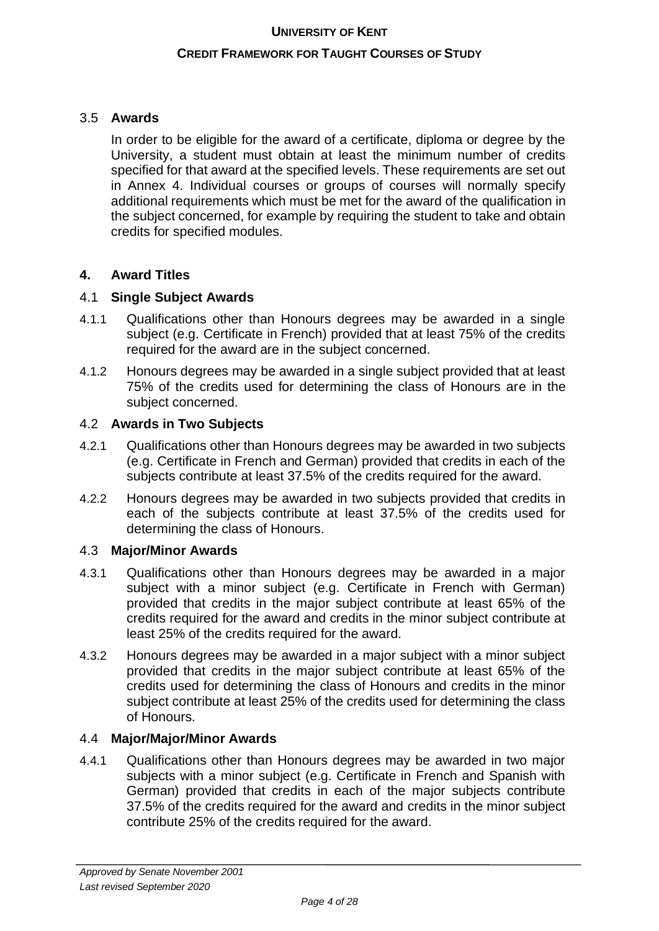#### **CREDIT FRAMEWORK FOR TAUGHT COURSES OF STUDY**

## 3.5 **Awards**

In order to be eligible for the award of a certificate, diploma or degree by the University, a student must obtain at least the minimum number of credits specified for that award at the specified levels. These requirements are set out in Annex 4. Individual courses or groups of courses will normally specify additional requirements which must be met for the award of the qualification in the subject concerned, for example by requiring the student to take and obtain credits for specified modules.

## **4. Award Titles**

## 4.1 **Single Subject Awards**

- 4.1.1 Qualifications other than Honours degrees may be awarded in a single subject (e.g. Certificate in French) provided that at least 75% of the credits required for the award are in the subject concerned.
- 4.1.2 Honours degrees may be awarded in a single subject provided that at least 75% of the credits used for determining the class of Honours are in the subject concerned.

## 4.2 **Awards in Two Subjects**

- 4.2.1 Qualifications other than Honours degrees may be awarded in two subjects (e.g. Certificate in French and German) provided that credits in each of the subjects contribute at least 37.5% of the credits required for the award.
- 4.2.2 Honours degrees may be awarded in two subjects provided that credits in each of the subjects contribute at least 37.5% of the credits used for determining the class of Honours.

#### 4.3 **Major/Minor Awards**

- 4.3.1 Qualifications other than Honours degrees may be awarded in a major subject with a minor subject (e.g. Certificate in French with German) provided that credits in the major subject contribute at least 65% of the credits required for the award and credits in the minor subject contribute at least 25% of the credits required for the award.
- 4.3.2 Honours degrees may be awarded in a major subject with a minor subject provided that credits in the major subject contribute at least 65% of the credits used for determining the class of Honours and credits in the minor subject contribute at least 25% of the credits used for determining the class of Honours.

#### 4.4 **Major/Major/Minor Awards**

4.4.1 Qualifications other than Honours degrees may be awarded in two major subjects with a minor subject (e.g. Certificate in French and Spanish with German) provided that credits in each of the major subjects contribute 37.5% of the credits required for the award and credits in the minor subject contribute 25% of the credits required for the award.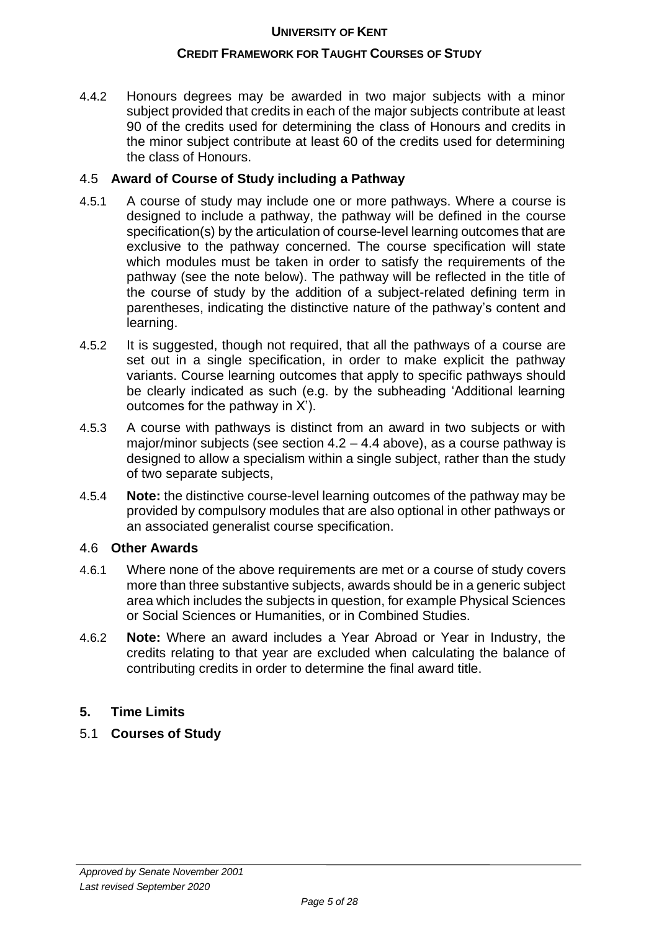#### **CREDIT FRAMEWORK FOR TAUGHT COURSES OF STUDY**

4.4.2 Honours degrees may be awarded in two major subjects with a minor subject provided that credits in each of the major subjects contribute at least 90 of the credits used for determining the class of Honours and credits in the minor subject contribute at least 60 of the credits used for determining the class of Honours.

## 4.5 **Award of Course of Study including a Pathway**

- 4.5.1 A course of study may include one or more pathways. Where a course is designed to include a pathway, the pathway will be defined in the course specification(s) by the articulation of course-level learning outcomes that are exclusive to the pathway concerned. The course specification will state which modules must be taken in order to satisfy the requirements of the pathway (see the note below). The pathway will be reflected in the title of the course of study by the addition of a subject-related defining term in parentheses, indicating the distinctive nature of the pathway's content and learning.
- 4.5.2 It is suggested, though not required, that all the pathways of a course are set out in a single specification, in order to make explicit the pathway variants. Course learning outcomes that apply to specific pathways should be clearly indicated as such (e.g. by the subheading 'Additional learning outcomes for the pathway in X').
- 4.5.3 A course with pathways is distinct from an award in two subjects or with major/minor subjects (see section 4.2 – 4.4 above), as a course pathway is designed to allow a specialism within a single subject, rather than the study of two separate subjects,
- 4.5.4 **Note:** the distinctive course-level learning outcomes of the pathway may be provided by compulsory modules that are also optional in other pathways or an associated generalist course specification.

#### 4.6 **Other Awards**

- 4.6.1 Where none of the above requirements are met or a course of study covers more than three substantive subjects, awards should be in a generic subject area which includes the subjects in question, for example Physical Sciences or Social Sciences or Humanities, or in Combined Studies.
- 4.6.2 **Note:** Where an award includes a Year Abroad or Year in Industry, the credits relating to that year are excluded when calculating the balance of contributing credits in order to determine the final award title.

#### **5. Time Limits**

5.1 **Courses of Study**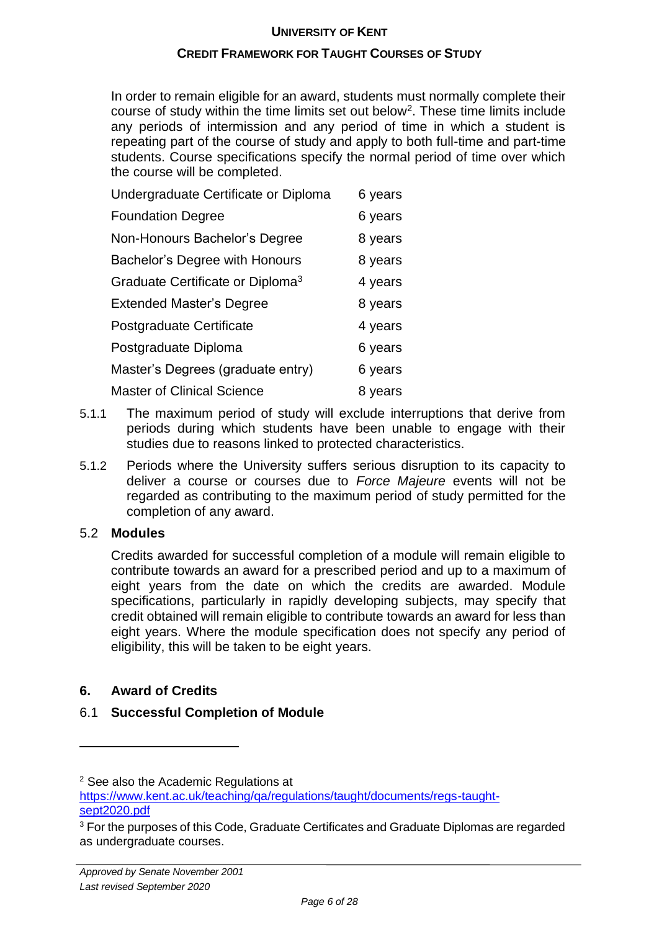## **CREDIT FRAMEWORK FOR TAUGHT COURSES OF STUDY**

In order to remain eligible for an award, students must normally complete their course of study within the time limits set out below<sup>2</sup>. These time limits include any periods of intermission and any period of time in which a student is repeating part of the course of study and apply to both full-time and part-time students. Course specifications specify the normal period of time over which the course will be completed.

| Undergraduate Certificate or Diploma         | 6 years |
|----------------------------------------------|---------|
| <b>Foundation Degree</b>                     | 6 years |
| Non-Honours Bachelor's Degree                | 8 years |
| Bachelor's Degree with Honours               | 8 years |
| Graduate Certificate or Diploma <sup>3</sup> | 4 years |
| <b>Extended Master's Degree</b>              | 8 years |
| Postgraduate Certificate                     | 4 years |
| Postgraduate Diploma                         | 6 years |
| Master's Degrees (graduate entry)            | 6 years |
| <b>Master of Clinical Science</b>            | 8 years |

- 5.1.1 The maximum period of study will exclude interruptions that derive from periods during which students have been unable to engage with their studies due to reasons linked to protected characteristics.
- 5.1.2 Periods where the University suffers serious disruption to its capacity to deliver a course or courses due to *Force Majeure* events will not be regarded as contributing to the maximum period of study permitted for the completion of any award.

#### 5.2 **Modules**

Credits awarded for successful completion of a module will remain eligible to contribute towards an award for a prescribed period and up to a maximum of eight years from the date on which the credits are awarded. Module specifications, particularly in rapidly developing subjects, may specify that credit obtained will remain eligible to contribute towards an award for less than eight years. Where the module specification does not specify any period of eligibility, this will be taken to be eight years.

## **6. Award of Credits**

## 6.1 **Successful Completion of Module**

<sup>&</sup>lt;sup>2</sup> See also the Academic Regulations at [https://www.kent.ac.uk/teaching/qa/regulations/taught/documents/regs-taught](https://www.kent.ac.uk/teaching/qa/regulations/taught/documents/regs-taught-sept2020.pdf)[sept2020.pdf](https://www.kent.ac.uk/teaching/qa/regulations/taught/documents/regs-taught-sept2020.pdf)

<sup>&</sup>lt;sup>3</sup> For the purposes of this Code, Graduate Certificates and Graduate Diplomas are regarded as undergraduate courses.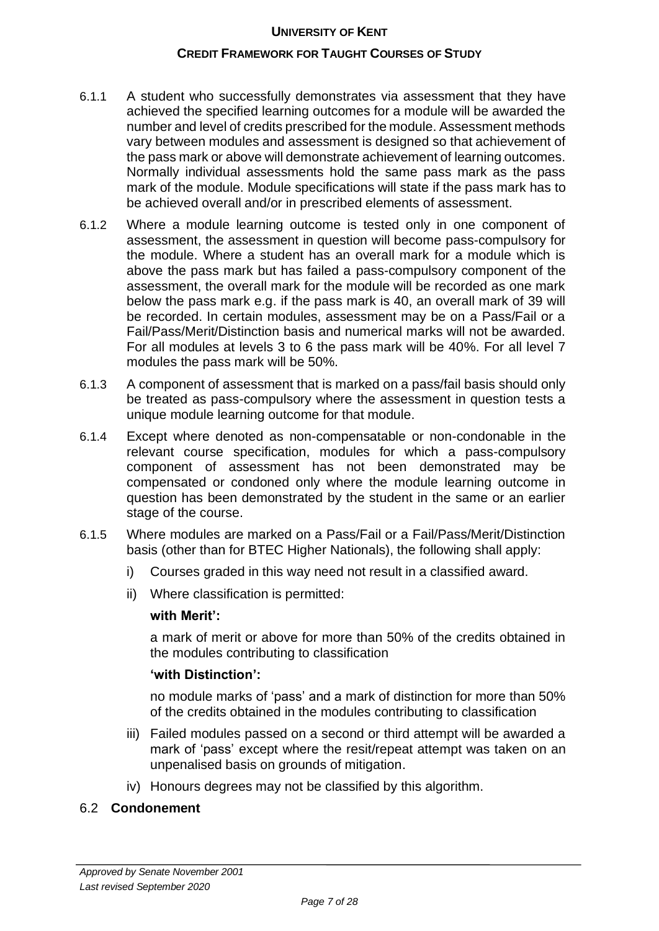#### **CREDIT FRAMEWORK FOR TAUGHT COURSES OF STUDY**

- 6.1.1 A student who successfully demonstrates via assessment that they have achieved the specified learning outcomes for a module will be awarded the number and level of credits prescribed for the module. Assessment methods vary between modules and assessment is designed so that achievement of the pass mark or above will demonstrate achievement of learning outcomes. Normally individual assessments hold the same pass mark as the pass mark of the module. Module specifications will state if the pass mark has to be achieved overall and/or in prescribed elements of assessment.
- 6.1.2 Where a module learning outcome is tested only in one component of assessment, the assessment in question will become pass-compulsory for the module. Where a student has an overall mark for a module which is above the pass mark but has failed a pass-compulsory component of the assessment, the overall mark for the module will be recorded as one mark below the pass mark e.g. if the pass mark is 40, an overall mark of 39 will be recorded. In certain modules, assessment may be on a Pass/Fail or a Fail/Pass/Merit/Distinction basis and numerical marks will not be awarded. For all modules at levels 3 to 6 the pass mark will be 40%. For all level 7 modules the pass mark will be 50%.
- 6.1.3 A component of assessment that is marked on a pass/fail basis should only be treated as pass-compulsory where the assessment in question tests a unique module learning outcome for that module.
- 6.1.4 Except where denoted as non-compensatable or non-condonable in the relevant course specification, modules for which a pass-compulsory component of assessment has not been demonstrated may be compensated or condoned only where the module learning outcome in question has been demonstrated by the student in the same or an earlier stage of the course.
- 6.1.5 Where modules are marked on a Pass/Fail or a Fail/Pass/Merit/Distinction basis (other than for BTEC Higher Nationals), the following shall apply:
	- i) Courses graded in this way need not result in a classified award.
	- ii) Where classification is permitted:

#### **with Merit':**

a mark of merit or above for more than 50% of the credits obtained in the modules contributing to classification

#### **'with Distinction':**

no module marks of 'pass' and a mark of distinction for more than 50% of the credits obtained in the modules contributing to classification

- iii) Failed modules passed on a second or third attempt will be awarded a mark of 'pass' except where the resit/repeat attempt was taken on an unpenalised basis on grounds of mitigation.
- iv) Honours degrees may not be classified by this algorithm.

#### 6.2 **Condonement**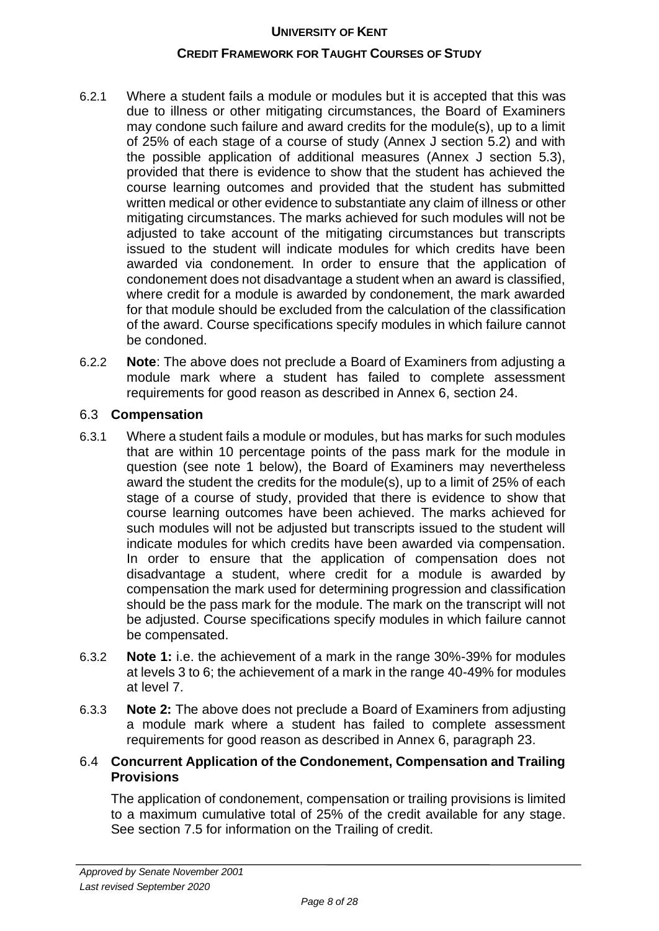## **CREDIT FRAMEWORK FOR TAUGHT COURSES OF STUDY**

- 6.2.1 Where a student fails a module or modules but it is accepted that this was due to illness or other mitigating circumstances, the Board of Examiners may condone such failure and award credits for the module(s), up to a limit of 25% of each stage of a course of study (Annex J section 5.2) and with the possible application of additional measures (Annex J section 5.3), provided that there is evidence to show that the student has achieved the course learning outcomes and provided that the student has submitted written medical or other evidence to substantiate any claim of illness or other mitigating circumstances. The marks achieved for such modules will not be adjusted to take account of the mitigating circumstances but transcripts issued to the student will indicate modules for which credits have been awarded via condonement. In order to ensure that the application of condonement does not disadvantage a student when an award is classified, where credit for a module is awarded by condonement, the mark awarded for that module should be excluded from the calculation of the classification of the award. Course specifications specify modules in which failure cannot be condoned.
- 6.2.2 **Note**: The above does not preclude a Board of Examiners from adjusting a module mark where a student has failed to complete assessment requirements for good reason as described in Annex 6, section 24.

## 6.3 **Compensation**

- 6.3.1 Where a student fails a module or modules, but has marks for such modules that are within 10 percentage points of the pass mark for the module in question (see note 1 below), the Board of Examiners may nevertheless award the student the credits for the module(s), up to a limit of 25% of each stage of a course of study, provided that there is evidence to show that course learning outcomes have been achieved. The marks achieved for such modules will not be adjusted but transcripts issued to the student will indicate modules for which credits have been awarded via compensation. In order to ensure that the application of compensation does not disadvantage a student, where credit for a module is awarded by compensation the mark used for determining progression and classification should be the pass mark for the module. The mark on the transcript will not be adjusted. Course specifications specify modules in which failure cannot be compensated.
- 6.3.2 **Note 1:** i.e. the achievement of a mark in the range 30%-39% for modules at levels 3 to 6; the achievement of a mark in the range 40-49% for modules at level 7.
- 6.3.3 **Note 2:** The above does not preclude a Board of Examiners from adjusting a module mark where a student has failed to complete assessment requirements for good reason as described in Annex 6, paragraph 23.

## 6.4 **Concurrent Application of the Condonement, Compensation and Trailing Provisions**

The application of condonement, compensation or trailing provisions is limited to a maximum cumulative total of 25% of the credit available for any stage. See section 7.5 for information on the Trailing of credit.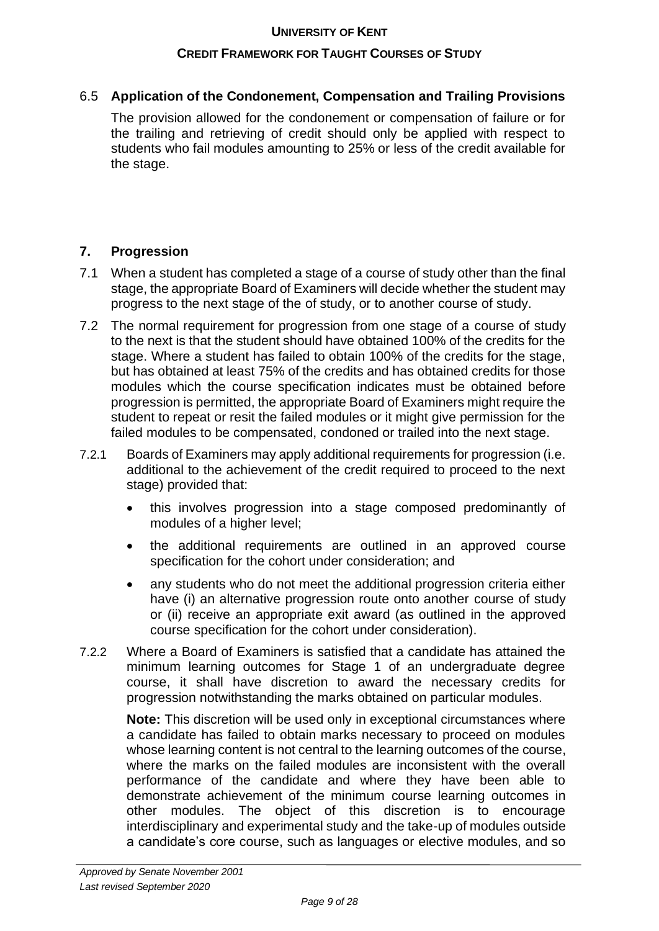## **CREDIT FRAMEWORK FOR TAUGHT COURSES OF STUDY**

## 6.5 **Application of the Condonement, Compensation and Trailing Provisions**

The provision allowed for the condonement or compensation of failure or for the trailing and retrieving of credit should only be applied with respect to students who fail modules amounting to 25% or less of the credit available for the stage.

## **7. Progression**

- 7.1 When a student has completed a stage of a course of study other than the final stage, the appropriate Board of Examiners will decide whether the student may progress to the next stage of the of study, or to another course of study.
- 7.2 The normal requirement for progression from one stage of a course of study to the next is that the student should have obtained 100% of the credits for the stage. Where a student has failed to obtain 100% of the credits for the stage, but has obtained at least 75% of the credits and has obtained credits for those modules which the course specification indicates must be obtained before progression is permitted, the appropriate Board of Examiners might require the student to repeat or resit the failed modules or it might give permission for the failed modules to be compensated, condoned or trailed into the next stage.
- 7.2.1 Boards of Examiners may apply additional requirements for progression (i.e. additional to the achievement of the credit required to proceed to the next stage) provided that:
	- this involves progression into a stage composed predominantly of modules of a higher level;
	- the additional requirements are outlined in an approved course specification for the cohort under consideration; and
	- any students who do not meet the additional progression criteria either have (i) an alternative progression route onto another course of study or (ii) receive an appropriate exit award (as outlined in the approved course specification for the cohort under consideration).
- 7.2.2 Where a Board of Examiners is satisfied that a candidate has attained the minimum learning outcomes for Stage 1 of an undergraduate degree course, it shall have discretion to award the necessary credits for progression notwithstanding the marks obtained on particular modules.

**Note:** This discretion will be used only in exceptional circumstances where a candidate has failed to obtain marks necessary to proceed on modules whose learning content is not central to the learning outcomes of the course, where the marks on the failed modules are inconsistent with the overall performance of the candidate and where they have been able to demonstrate achievement of the minimum course learning outcomes in other modules. The object of this discretion is to encourage interdisciplinary and experimental study and the take-up of modules outside a candidate's core course, such as languages or elective modules, and so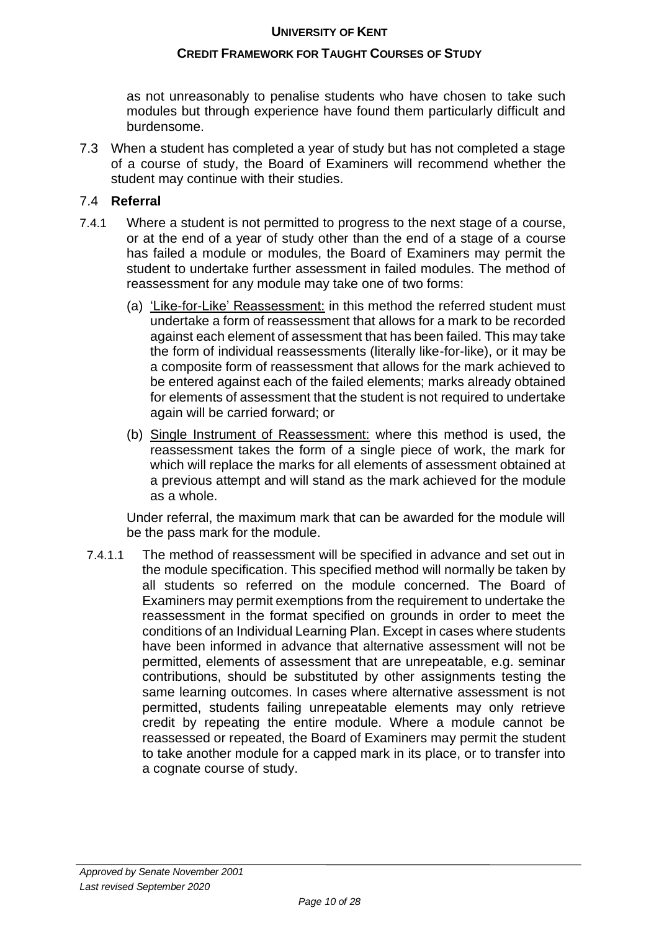## **CREDIT FRAMEWORK FOR TAUGHT COURSES OF STUDY**

as not unreasonably to penalise students who have chosen to take such modules but through experience have found them particularly difficult and burdensome.

7.3 When a student has completed a year of study but has not completed a stage of a course of study, the Board of Examiners will recommend whether the student may continue with their studies.

## 7.4 **Referral**

- 7.4.1 Where a student is not permitted to progress to the next stage of a course, or at the end of a year of study other than the end of a stage of a course has failed a module or modules, the Board of Examiners may permit the student to undertake further assessment in failed modules. The method of reassessment for any module may take one of two forms:
	- (a) 'Like-for-Like' Reassessment: in this method the referred student must undertake a form of reassessment that allows for a mark to be recorded against each element of assessment that has been failed. This may take the form of individual reassessments (literally like-for-like), or it may be a composite form of reassessment that allows for the mark achieved to be entered against each of the failed elements; marks already obtained for elements of assessment that the student is not required to undertake again will be carried forward; or
	- (b) Single Instrument of Reassessment: where this method is used, the reassessment takes the form of a single piece of work, the mark for which will replace the marks for all elements of assessment obtained at a previous attempt and will stand as the mark achieved for the module as a whole.

Under referral, the maximum mark that can be awarded for the module will be the pass mark for the module.

7.4.1.1 The method of reassessment will be specified in advance and set out in the module specification. This specified method will normally be taken by all students so referred on the module concerned. The Board of Examiners may permit exemptions from the requirement to undertake the reassessment in the format specified on grounds in order to meet the conditions of an Individual Learning Plan. Except in cases where students have been informed in advance that alternative assessment will not be permitted, elements of assessment that are unrepeatable, e.g. seminar contributions, should be substituted by other assignments testing the same learning outcomes. In cases where alternative assessment is not permitted, students failing unrepeatable elements may only retrieve credit by repeating the entire module. Where a module cannot be reassessed or repeated, the Board of Examiners may permit the student to take another module for a capped mark in its place, or to transfer into a cognate course of study.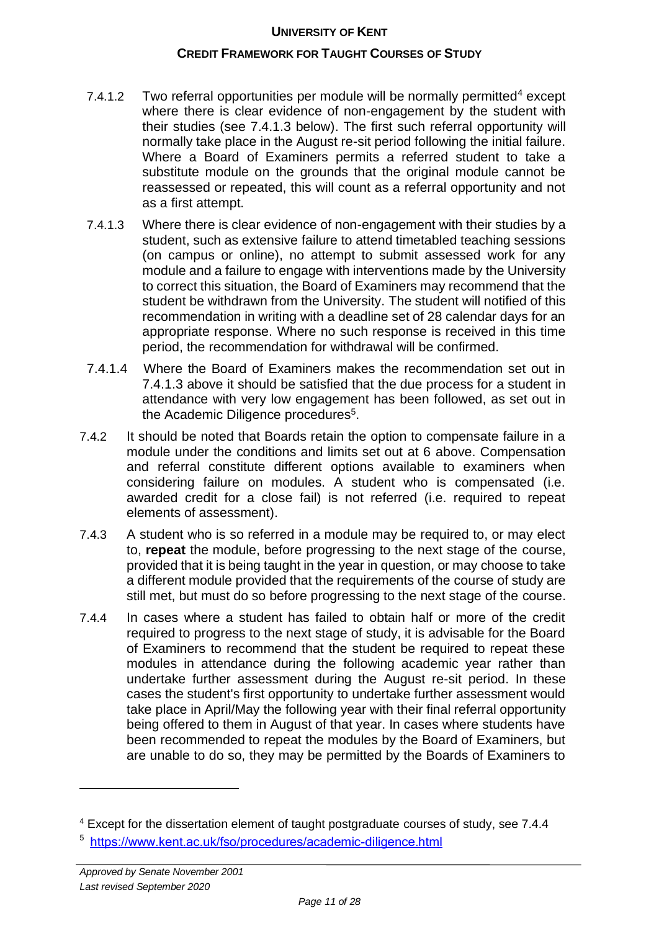#### **CREDIT FRAMEWORK FOR TAUGHT COURSES OF STUDY**

- 7.4.1.2 Two referral opportunities per module will be normally permitted<sup>4</sup> except where there is clear evidence of non-engagement by the student with their studies (see 7.4.1.3 below). The first such referral opportunity will normally take place in the August re-sit period following the initial failure. Where a Board of Examiners permits a referred student to take a substitute module on the grounds that the original module cannot be reassessed or repeated, this will count as a referral opportunity and not as a first attempt.
- 7.4.1.3 Where there is clear evidence of non-engagement with their studies by a student, such as extensive failure to attend timetabled teaching sessions (on campus or online), no attempt to submit assessed work for any module and a failure to engage with interventions made by the University to correct this situation, the Board of Examiners may recommend that the student be withdrawn from the University. The student will notified of this recommendation in writing with a deadline set of 28 calendar days for an appropriate response. Where no such response is received in this time period, the recommendation for withdrawal will be confirmed.
- 7.4.1.4 Where the Board of Examiners makes the recommendation set out in 7.4.1.3 above it should be satisfied that the due process for a student in attendance with very low engagement has been followed, as set out in the Academic Diligence procedures<sup>5</sup>.
- 7.4.2 It should be noted that Boards retain the option to compensate failure in a module under the conditions and limits set out at 6 above. Compensation and referral constitute different options available to examiners when considering failure on modules. A student who is compensated (i.e. awarded credit for a close fail) is not referred (i.e. required to repeat elements of assessment).
- 7.4.3 A student who is so referred in a module may be required to, or may elect to, **repeat** the module, before progressing to the next stage of the course, provided that it is being taught in the year in question, or may choose to take a different module provided that the requirements of the course of study are still met, but must do so before progressing to the next stage of the course.
- 7.4.4 In cases where a student has failed to obtain half or more of the credit required to progress to the next stage of study, it is advisable for the Board of Examiners to recommend that the student be required to repeat these modules in attendance during the following academic year rather than undertake further assessment during the August re-sit period. In these cases the student's first opportunity to undertake further assessment would take place in April/May the following year with their final referral opportunity being offered to them in August of that year. In cases where students have been recommended to repeat the modules by the Board of Examiners, but are unable to do so, they may be permitted by the Boards of Examiners to

<sup>4</sup> Except for the dissertation element of taught postgraduate courses of study, see 7.4.4

<sup>&</sup>lt;sup>5</sup> <https://www.kent.ac.uk/fso/procedures/academic-diligence.html>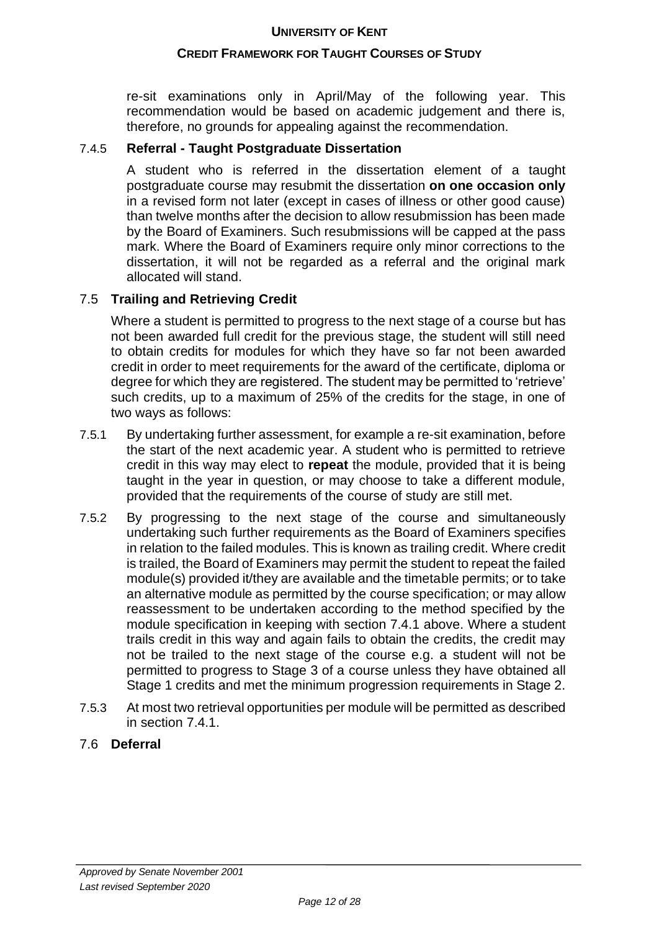## **CREDIT FRAMEWORK FOR TAUGHT COURSES OF STUDY**

re-sit examinations only in April/May of the following year. This recommendation would be based on academic judgement and there is, therefore, no grounds for appealing against the recommendation.

## 7.4.5 **Referral - Taught Postgraduate Dissertation**

A student who is referred in the dissertation element of a taught postgraduate course may resubmit the dissertation **on one occasion only** in a revised form not later (except in cases of illness or other good cause) than twelve months after the decision to allow resubmission has been made by the Board of Examiners. Such resubmissions will be capped at the pass mark. Where the Board of Examiners require only minor corrections to the dissertation, it will not be regarded as a referral and the original mark allocated will stand.

## 7.5 **Trailing and Retrieving Credit**

Where a student is permitted to progress to the next stage of a course but has not been awarded full credit for the previous stage, the student will still need to obtain credits for modules for which they have so far not been awarded credit in order to meet requirements for the award of the certificate, diploma or degree for which they are registered. The student may be permitted to 'retrieve' such credits, up to a maximum of 25% of the credits for the stage, in one of two ways as follows:

- 7.5.1 By undertaking further assessment, for example a re-sit examination, before the start of the next academic year. A student who is permitted to retrieve credit in this way may elect to **repeat** the module, provided that it is being taught in the year in question, or may choose to take a different module, provided that the requirements of the course of study are still met.
- 7.5.2 By progressing to the next stage of the course and simultaneously undertaking such further requirements as the Board of Examiners specifies in relation to the failed modules. This is known as trailing credit. Where credit is trailed, the Board of Examiners may permit the student to repeat the failed module(s) provided it/they are available and the timetable permits; or to take an alternative module as permitted by the course specification; or may allow reassessment to be undertaken according to the method specified by the module specification in keeping with section 7.4.1 above. Where a student trails credit in this way and again fails to obtain the credits, the credit may not be trailed to the next stage of the course e.g. a student will not be permitted to progress to Stage 3 of a course unless they have obtained all Stage 1 credits and met the minimum progression requirements in Stage 2.
- 7.5.3 At most two retrieval opportunities per module will be permitted as described in section 7.4.1.

## 7.6 **Deferral**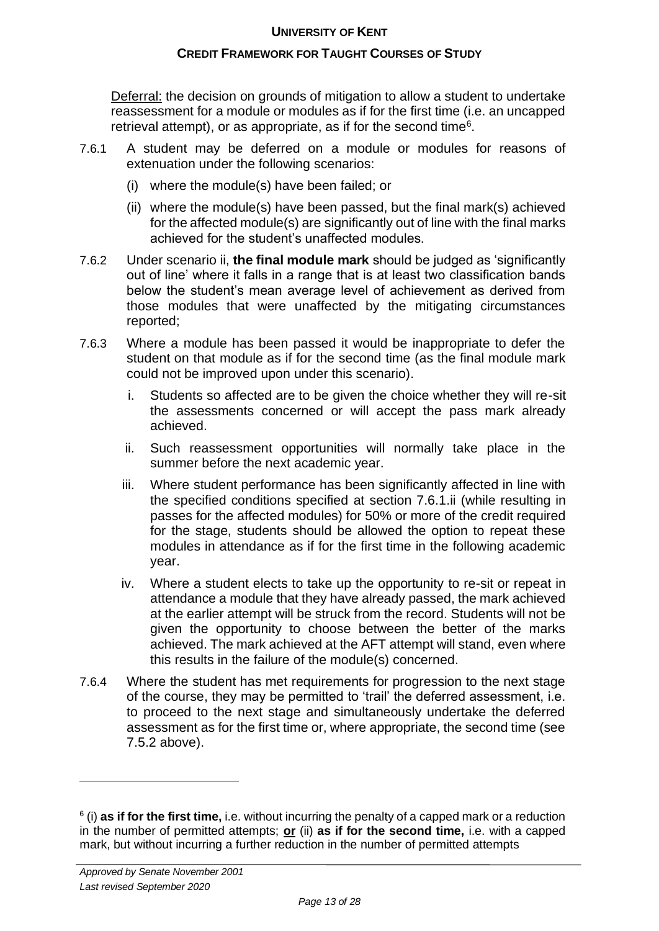## **CREDIT FRAMEWORK FOR TAUGHT COURSES OF STUDY**

Deferral: the decision on grounds of mitigation to allow a student to undertake reassessment for a module or modules as if for the first time (i.e. an uncapped retrieval attempt), or as appropriate, as if for the second time<sup>6</sup>.

- 7.6.1 A student may be deferred on a module or modules for reasons of extenuation under the following scenarios:
	- (i) where the module(s) have been failed; or
	- (ii) where the module(s) have been passed, but the final mark(s) achieved for the affected module(s) are significantly out of line with the final marks achieved for the student's unaffected modules.
- 7.6.2 Under scenario ii, **the final module mark** should be judged as 'significantly out of line' where it falls in a range that is at least two classification bands below the student's mean average level of achievement as derived from those modules that were unaffected by the mitigating circumstances reported;
- 7.6.3 Where a module has been passed it would be inappropriate to defer the student on that module as if for the second time (as the final module mark could not be improved upon under this scenario).
	- i. Students so affected are to be given the choice whether they will re-sit the assessments concerned or will accept the pass mark already achieved.
	- ii. Such reassessment opportunities will normally take place in the summer before the next academic year.
	- iii. Where student performance has been significantly affected in line with the specified conditions specified at section 7.6.1.ii (while resulting in passes for the affected modules) for 50% or more of the credit required for the stage, students should be allowed the option to repeat these modules in attendance as if for the first time in the following academic year.
	- iv. Where a student elects to take up the opportunity to re-sit or repeat in attendance a module that they have already passed, the mark achieved at the earlier attempt will be struck from the record. Students will not be given the opportunity to choose between the better of the marks achieved. The mark achieved at the AFT attempt will stand, even where this results in the failure of the module(s) concerned.
- 7.6.4 Where the student has met requirements for progression to the next stage of the course, they may be permitted to 'trail' the deferred assessment, i.e. to proceed to the next stage and simultaneously undertake the deferred assessment as for the first time or, where appropriate, the second time (see 7.5.2 above).

<sup>6</sup> (i) **as if for the first time,** i.e. without incurring the penalty of a capped mark or a reduction in the number of permitted attempts; **or** (ii) **as if for the second time,** i.e. with a capped mark, but without incurring a further reduction in the number of permitted attempts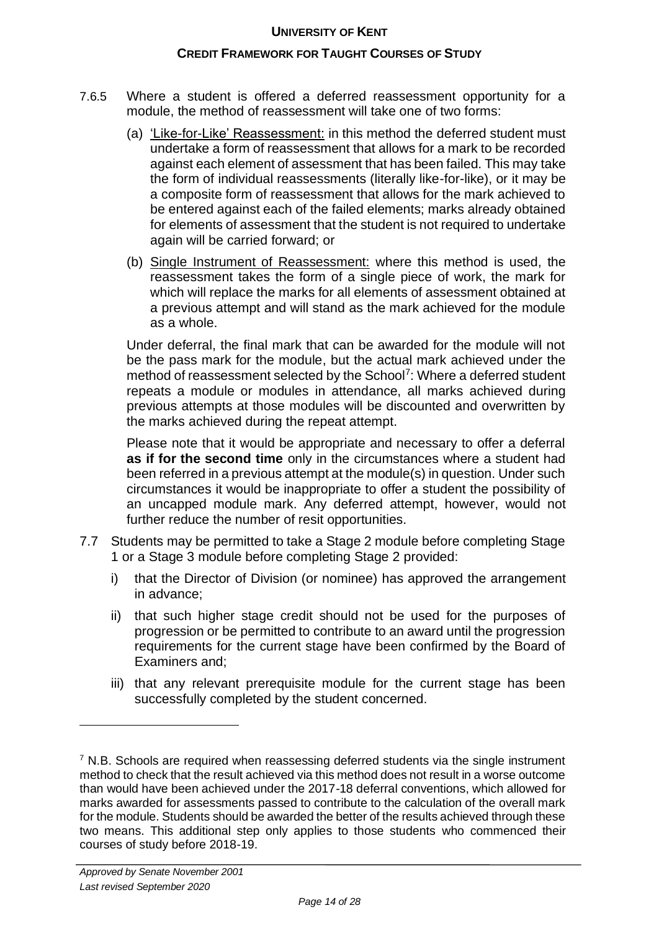#### **CREDIT FRAMEWORK FOR TAUGHT COURSES OF STUDY**

- 7.6.5 Where a student is offered a deferred reassessment opportunity for a module, the method of reassessment will take one of two forms:
	- (a) 'Like-for-Like' Reassessment: in this method the deferred student must undertake a form of reassessment that allows for a mark to be recorded against each element of assessment that has been failed. This may take the form of individual reassessments (literally like-for-like), or it may be a composite form of reassessment that allows for the mark achieved to be entered against each of the failed elements; marks already obtained for elements of assessment that the student is not required to undertake again will be carried forward; or
	- (b) Single Instrument of Reassessment: where this method is used, the reassessment takes the form of a single piece of work, the mark for which will replace the marks for all elements of assessment obtained at a previous attempt and will stand as the mark achieved for the module as a whole.

Under deferral, the final mark that can be awarded for the module will not be the pass mark for the module, but the actual mark achieved under the method of reassessment selected by the School<sup>7</sup>: Where a deferred student repeats a module or modules in attendance, all marks achieved during previous attempts at those modules will be discounted and overwritten by the marks achieved during the repeat attempt.

Please note that it would be appropriate and necessary to offer a deferral **as if for the second time** only in the circumstances where a student had been referred in a previous attempt at the module(s) in question. Under such circumstances it would be inappropriate to offer a student the possibility of an uncapped module mark. Any deferred attempt, however, would not further reduce the number of resit opportunities.

- 7.7 Students may be permitted to take a Stage 2 module before completing Stage 1 or a Stage 3 module before completing Stage 2 provided:
	- i) that the Director of Division (or nominee) has approved the arrangement in advance;
	- ii) that such higher stage credit should not be used for the purposes of progression or be permitted to contribute to an award until the progression requirements for the current stage have been confirmed by the Board of Examiners and;
	- iii) that any relevant prerequisite module for the current stage has been successfully completed by the student concerned.

 $7$  N.B. Schools are required when reassessing deferred students via the single instrument method to check that the result achieved via this method does not result in a worse outcome than would have been achieved under the 2017-18 deferral conventions, which allowed for marks awarded for assessments passed to contribute to the calculation of the overall mark for the module. Students should be awarded the better of the results achieved through these two means. This additional step only applies to those students who commenced their courses of study before 2018-19.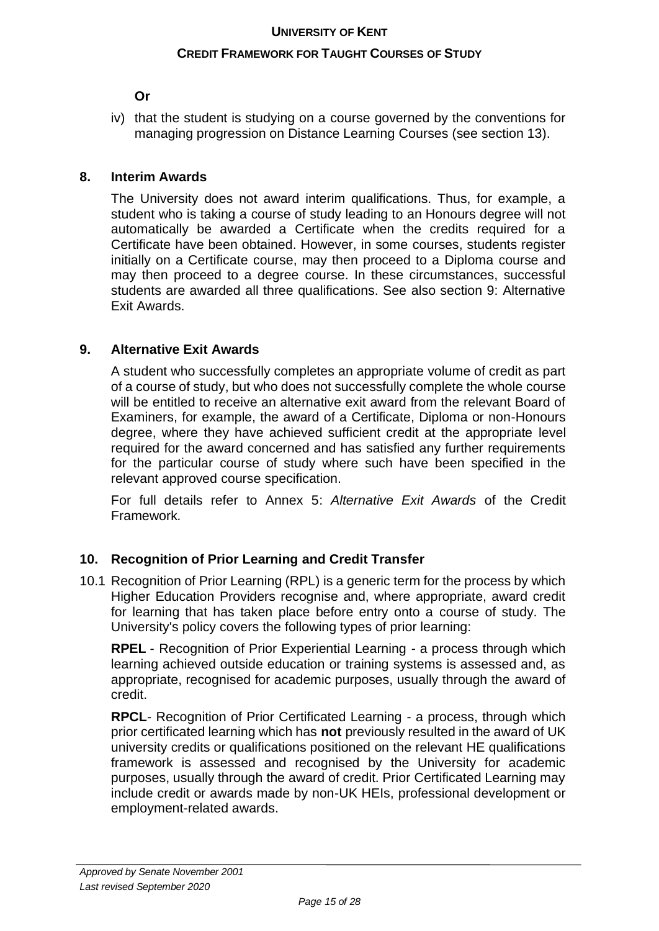#### **CREDIT FRAMEWORK FOR TAUGHT COURSES OF STUDY**

## **Or**

iv) that the student is studying on a course governed by the conventions for managing progression on Distance Learning Courses (see section 13).

## **8. Interim Awards**

The University does not award interim qualifications. Thus, for example, a student who is taking a course of study leading to an Honours degree will not automatically be awarded a Certificate when the credits required for a Certificate have been obtained. However, in some courses, students register initially on a Certificate course, may then proceed to a Diploma course and may then proceed to a degree course. In these circumstances, successful students are awarded all three qualifications. See also section 9: Alternative Exit Awards.

## **9. Alternative Exit Awards**

A student who successfully completes an appropriate volume of credit as part of a course of study, but who does not successfully complete the whole course will be entitled to receive an alternative exit award from the relevant Board of Examiners, for example, the award of a Certificate, Diploma or non-Honours degree, where they have achieved sufficient credit at the appropriate level required for the award concerned and has satisfied any further requirements for the particular course of study where such have been specified in the relevant approved course specification.

For full details refer to Annex 5: *Alternative Exit Awards* of the Credit Framework*.*

#### **10. Recognition of Prior Learning and Credit Transfer**

10.1 Recognition of Prior Learning (RPL) is a generic term for the process by which Higher Education Providers recognise and, where appropriate, award credit for learning that has taken place before entry onto a course of study. The University's policy covers the following types of prior learning:

**RPEL** - Recognition of Prior Experiential Learning - a process through which learning achieved outside education or training systems is assessed and, as appropriate, recognised for academic purposes, usually through the award of credit.

**RPCL**- Recognition of Prior Certificated Learning - a process, through which prior certificated learning which has **not** previously resulted in the award of UK university credits or qualifications positioned on the relevant HE qualifications framework is assessed and recognised by the University for academic purposes, usually through the award of credit. Prior Certificated Learning may include credit or awards made by non-UK HEIs, professional development or employment-related awards.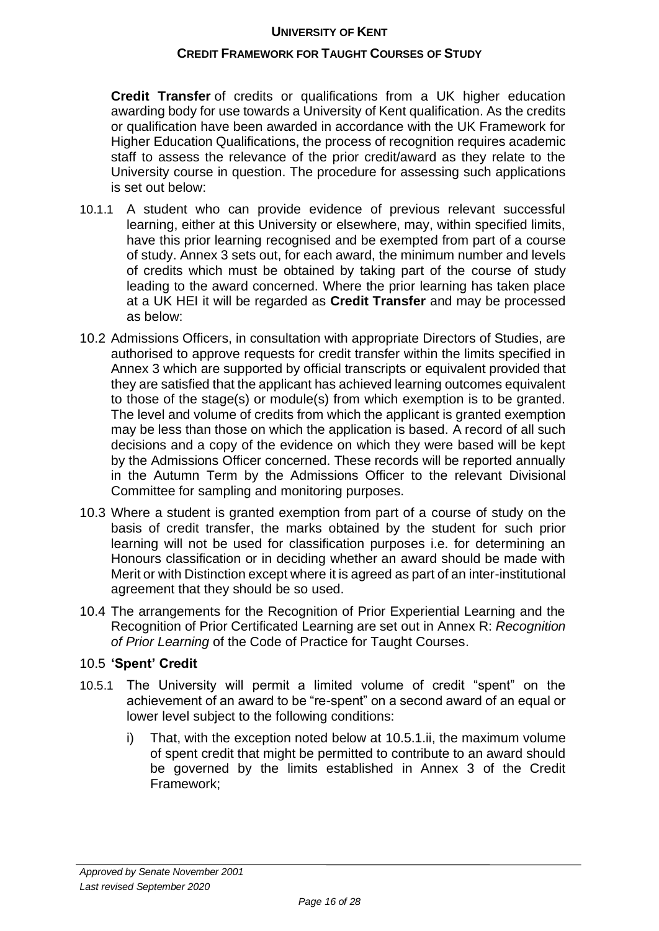#### **CREDIT FRAMEWORK FOR TAUGHT COURSES OF STUDY**

**Credit Transfer** of credits or qualifications from a UK higher education awarding body for use towards a University of Kent qualification. As the credits or qualification have been awarded in accordance with the UK Framework for Higher Education Qualifications, the process of recognition requires academic staff to assess the relevance of the prior credit/award as they relate to the University course in question. The procedure for assessing such applications is set out below:

- 10.1.1 A student who can provide evidence of previous relevant successful learning, either at this University or elsewhere, may, within specified limits, have this prior learning recognised and be exempted from part of a course of study. Annex 3 sets out, for each award, the minimum number and levels of credits which must be obtained by taking part of the course of study leading to the award concerned. Where the prior learning has taken place at a UK HEI it will be regarded as **Credit Transfer** and may be processed as below:
- 10.2 Admissions Officers, in consultation with appropriate Directors of Studies, are authorised to approve requests for credit transfer within the limits specified in Annex 3 which are supported by official transcripts or equivalent provided that they are satisfied that the applicant has achieved learning outcomes equivalent to those of the stage(s) or module(s) from which exemption is to be granted. The level and volume of credits from which the applicant is granted exemption may be less than those on which the application is based. A record of all such decisions and a copy of the evidence on which they were based will be kept by the Admissions Officer concerned. These records will be reported annually in the Autumn Term by the Admissions Officer to the relevant Divisional Committee for sampling and monitoring purposes.
- 10.3 Where a student is granted exemption from part of a course of study on the basis of credit transfer, the marks obtained by the student for such prior learning will not be used for classification purposes i.e. for determining an Honours classification or in deciding whether an award should be made with Merit or with Distinction except where it is agreed as part of an inter-institutional agreement that they should be so used.
- 10.4 The arrangements for the Recognition of Prior Experiential Learning and the Recognition of Prior Certificated Learning are set out in Annex R: *Recognition of Prior Learning* of the Code of Practice for Taught Courses.

#### 10.5 **'Spent' Credit**

- 10.5.1 The University will permit a limited volume of credit "spent" on the achievement of an award to be "re-spent" on a second award of an equal or lower level subject to the following conditions:
	- i) That, with the exception noted below at 10.5.1.ii, the maximum volume of spent credit that might be permitted to contribute to an award should be governed by the limits established in Annex 3 of the Credit Framework;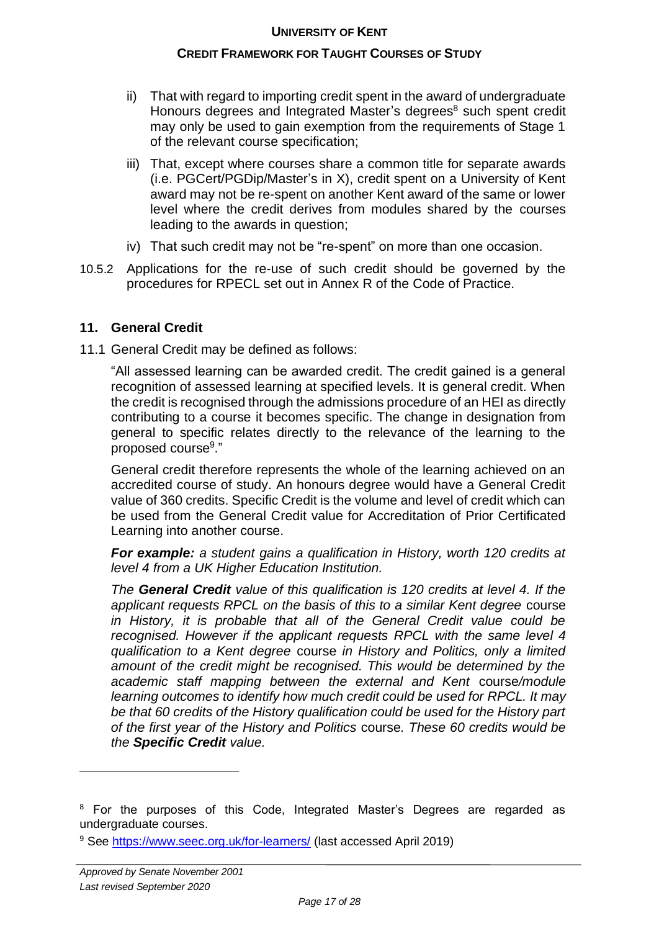## **CREDIT FRAMEWORK FOR TAUGHT COURSES OF STUDY**

- ii) That with regard to importing credit spent in the award of undergraduate Honours degrees and Integrated Master's degrees<sup>8</sup> such spent credit may only be used to gain exemption from the requirements of Stage 1 of the relevant course specification;
- iii) That, except where courses share a common title for separate awards (i.e. PGCert/PGDip/Master's in X), credit spent on a University of Kent award may not be re-spent on another Kent award of the same or lower level where the credit derives from modules shared by the courses leading to the awards in question;
- iv) That such credit may not be "re-spent" on more than one occasion.
- 10.5.2 Applications for the re-use of such credit should be governed by the procedures for RPECL set out in Annex R of the Code of Practice.

## **11. General Credit**

11.1 General Credit may be defined as follows:

"All assessed learning can be awarded credit. The credit gained is a general recognition of assessed learning at specified levels. It is general credit. When the credit is recognised through the admissions procedure of an HEI as directly contributing to a course it becomes specific. The change in designation from general to specific relates directly to the relevance of the learning to the proposed course<sup>9</sup>."

General credit therefore represents the whole of the learning achieved on an accredited course of study. An honours degree would have a General Credit value of 360 credits. Specific Credit is the volume and level of credit which can be used from the General Credit value for Accreditation of Prior Certificated Learning into another course.

*For example: a student gains a qualification in History, worth 120 credits at level 4 from a UK Higher Education Institution.* 

*The General Credit value of this qualification is 120 credits at level 4. If the applicant requests RPCL on the basis of this to a similar Kent degree* course *in History, it is probable that all of the General Credit value could be recognised. However if the applicant requests RPCL with the same level 4 qualification to a Kent degree* course *in History and Politics, only a limited amount of the credit might be recognised. This would be determined by the academic staff mapping between the external and Kent* course*/module learning outcomes to identify how much credit could be used for RPCL. It may be that 60 credits of the History qualification could be used for the History part of the first year of the History and Politics* course*. These 60 credits would be the Specific Credit value.*

<sup>&</sup>lt;sup>8</sup> For the purposes of this Code, Integrated Master's Degrees are regarded as undergraduate courses.

<sup>9</sup> See<https://www.seec.org.uk/for-learners/> (last accessed April 2019)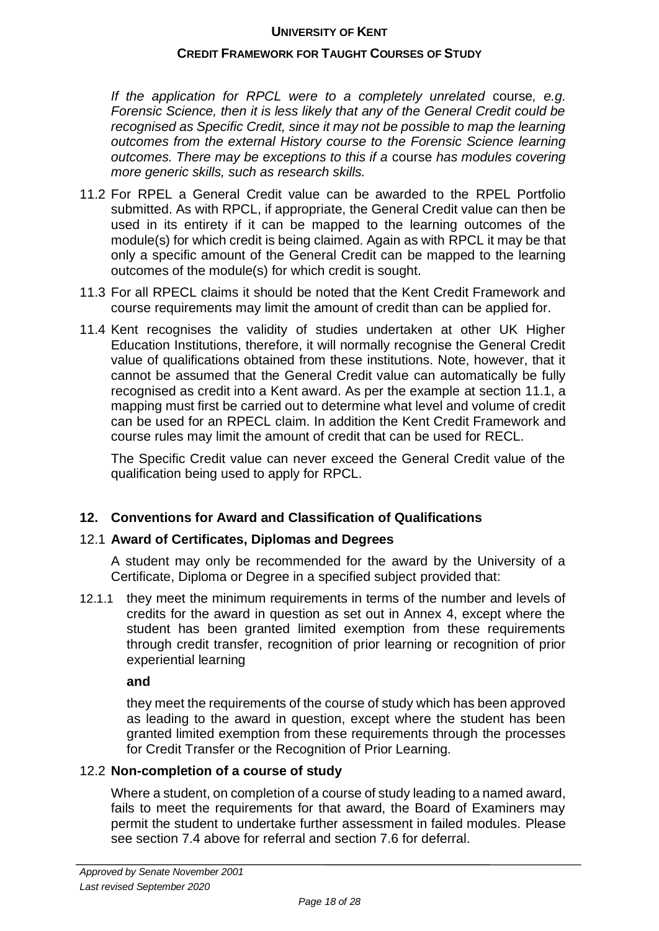#### **CREDIT FRAMEWORK FOR TAUGHT COURSES OF STUDY**

*If the application for RPCL were to a completely unrelated* course*, e.g. Forensic Science, then it is less likely that any of the General Credit could be recognised as Specific Credit, since it may not be possible to map the learning outcomes from the external History course to the Forensic Science learning outcomes. There may be exceptions to this if a* course *has modules covering more generic skills, such as research skills.*

- 11.2 For RPEL a General Credit value can be awarded to the RPEL Portfolio submitted. As with RPCL, if appropriate, the General Credit value can then be used in its entirety if it can be mapped to the learning outcomes of the module(s) for which credit is being claimed. Again as with RPCL it may be that only a specific amount of the General Credit can be mapped to the learning outcomes of the module(s) for which credit is sought.
- 11.3 For all RPECL claims it should be noted that the Kent Credit Framework and course requirements may limit the amount of credit than can be applied for.
- 11.4 Kent recognises the validity of studies undertaken at other UK Higher Education Institutions, therefore, it will normally recognise the General Credit value of qualifications obtained from these institutions. Note, however, that it cannot be assumed that the General Credit value can automatically be fully recognised as credit into a Kent award. As per the example at section 11.1, a mapping must first be carried out to determine what level and volume of credit can be used for an RPECL claim. In addition the Kent Credit Framework and course rules may limit the amount of credit that can be used for RECL.

The Specific Credit value can never exceed the General Credit value of the qualification being used to apply for RPCL.

#### **12. Conventions for Award and Classification of Qualifications**

#### 12.1 **Award of Certificates, Diplomas and Degrees**

A student may only be recommended for the award by the University of a Certificate, Diploma or Degree in a specified subject provided that:

12.1.1 they meet the minimum requirements in terms of the number and levels of credits for the award in question as set out in Annex 4, except where the student has been granted limited exemption from these requirements through credit transfer, recognition of prior learning or recognition of prior experiential learning

**and**

they meet the requirements of the course of study which has been approved as leading to the award in question, except where the student has been granted limited exemption from these requirements through the processes for Credit Transfer or the Recognition of Prior Learning.

#### 12.2 **Non-completion of a course of study**

Where a student, on completion of a course of study leading to a named award, fails to meet the requirements for that award, the Board of Examiners may permit the student to undertake further assessment in failed modules. Please see section 7.4 above for referral and section 7.6 for deferral.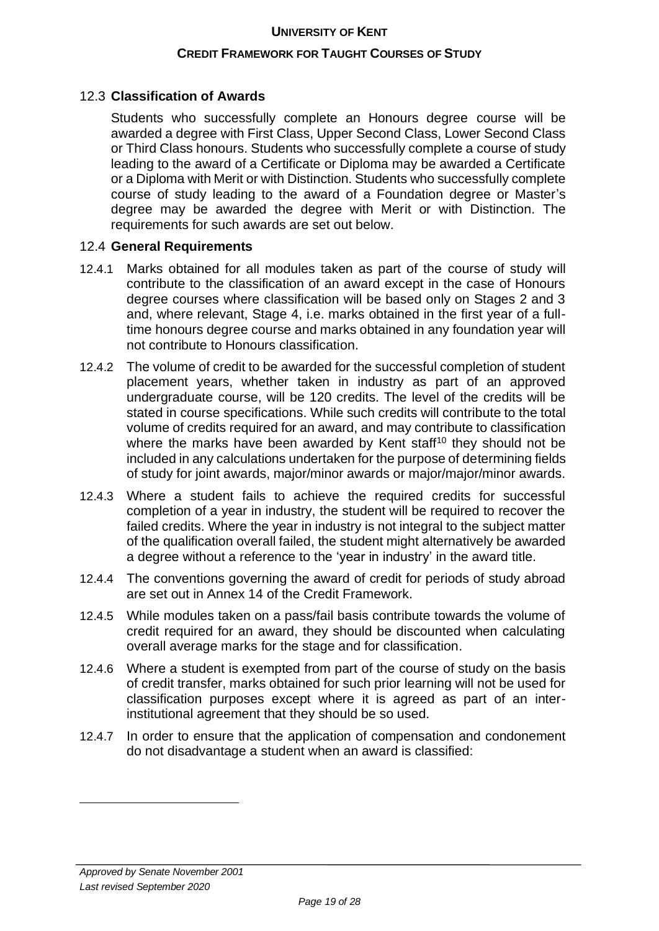#### **CREDIT FRAMEWORK FOR TAUGHT COURSES OF STUDY**

#### 12.3 **Classification of Awards**

Students who successfully complete an Honours degree course will be awarded a degree with First Class, Upper Second Class, Lower Second Class or Third Class honours. Students who successfully complete a course of study leading to the award of a Certificate or Diploma may be awarded a Certificate or a Diploma with Merit or with Distinction. Students who successfully complete course of study leading to the award of a Foundation degree or Master's degree may be awarded the degree with Merit or with Distinction. The requirements for such awards are set out below.

#### 12.4 **General Requirements**

- 12.4.1 Marks obtained for all modules taken as part of the course of study will contribute to the classification of an award except in the case of Honours degree courses where classification will be based only on Stages 2 and 3 and, where relevant, Stage 4, i.e. marks obtained in the first year of a fulltime honours degree course and marks obtained in any foundation year will not contribute to Honours classification.
- 12.4.2 The volume of credit to be awarded for the successful completion of student placement years, whether taken in industry as part of an approved undergraduate course, will be 120 credits. The level of the credits will be stated in course specifications. While such credits will contribute to the total volume of credits required for an award, and may contribute to classification where the marks have been awarded by Kent staff<sup>10</sup> they should not be included in any calculations undertaken for the purpose of determining fields of study for joint awards, major/minor awards or major/major/minor awards.
- 12.4.3 Where a student fails to achieve the required credits for successful completion of a year in industry, the student will be required to recover the failed credits. Where the year in industry is not integral to the subject matter of the qualification overall failed, the student might alternatively be awarded a degree without a reference to the 'year in industry' in the award title.
- 12.4.4 The conventions governing the award of credit for periods of study abroad are set out in Annex 14 of the Credit Framework.
- 12.4.5 While modules taken on a pass/fail basis contribute towards the volume of credit required for an award, they should be discounted when calculating overall average marks for the stage and for classification.
- 12.4.6 Where a student is exempted from part of the course of study on the basis of credit transfer, marks obtained for such prior learning will not be used for classification purposes except where it is agreed as part of an interinstitutional agreement that they should be so used.
- 12.4.7 In order to ensure that the application of compensation and condonement do not disadvantage a student when an award is classified: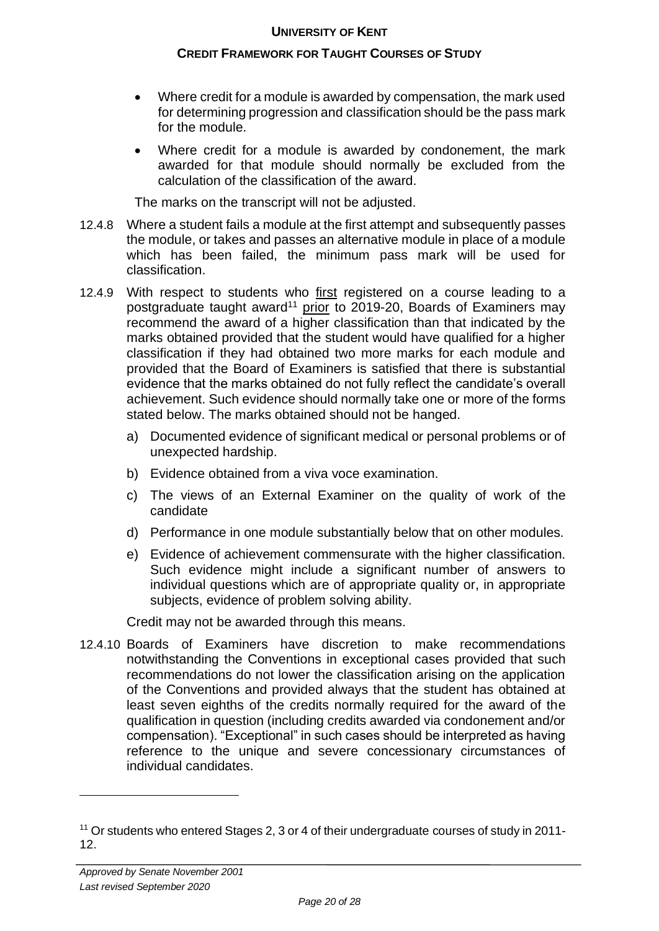#### **CREDIT FRAMEWORK FOR TAUGHT COURSES OF STUDY**

- Where credit for a module is awarded by compensation, the mark used for determining progression and classification should be the pass mark for the module.
- Where credit for a module is awarded by condonement, the mark awarded for that module should normally be excluded from the calculation of the classification of the award.

The marks on the transcript will not be adjusted.

- 12.4.8 Where a student fails a module at the first attempt and subsequently passes the module, or takes and passes an alternative module in place of a module which has been failed, the minimum pass mark will be used for classification.
- 12.4.9 With respect to students who first registered on a course leading to a postgraduate taught award<sup>11</sup> prior to 2019-20, Boards of Examiners may recommend the award of a higher classification than that indicated by the marks obtained provided that the student would have qualified for a higher classification if they had obtained two more marks for each module and provided that the Board of Examiners is satisfied that there is substantial evidence that the marks obtained do not fully reflect the candidate's overall achievement. Such evidence should normally take one or more of the forms stated below. The marks obtained should not be hanged.
	- a) Documented evidence of significant medical or personal problems or of unexpected hardship.
	- b) Evidence obtained from a viva voce examination.
	- c) The views of an External Examiner on the quality of work of the candidate
	- d) Performance in one module substantially below that on other modules.
	- e) Evidence of achievement commensurate with the higher classification. Such evidence might include a significant number of answers to individual questions which are of appropriate quality or, in appropriate subjects, evidence of problem solving ability.

Credit may not be awarded through this means.

12.4.10 Boards of Examiners have discretion to make recommendations notwithstanding the Conventions in exceptional cases provided that such recommendations do not lower the classification arising on the application of the Conventions and provided always that the student has obtained at least seven eighths of the credits normally required for the award of the qualification in question (including credits awarded via condonement and/or compensation). "Exceptional" in such cases should be interpreted as having reference to the unique and severe concessionary circumstances of individual candidates.

<sup>11</sup> Or students who entered Stages 2, 3 or 4 of their undergraduate courses of study in 2011- 12.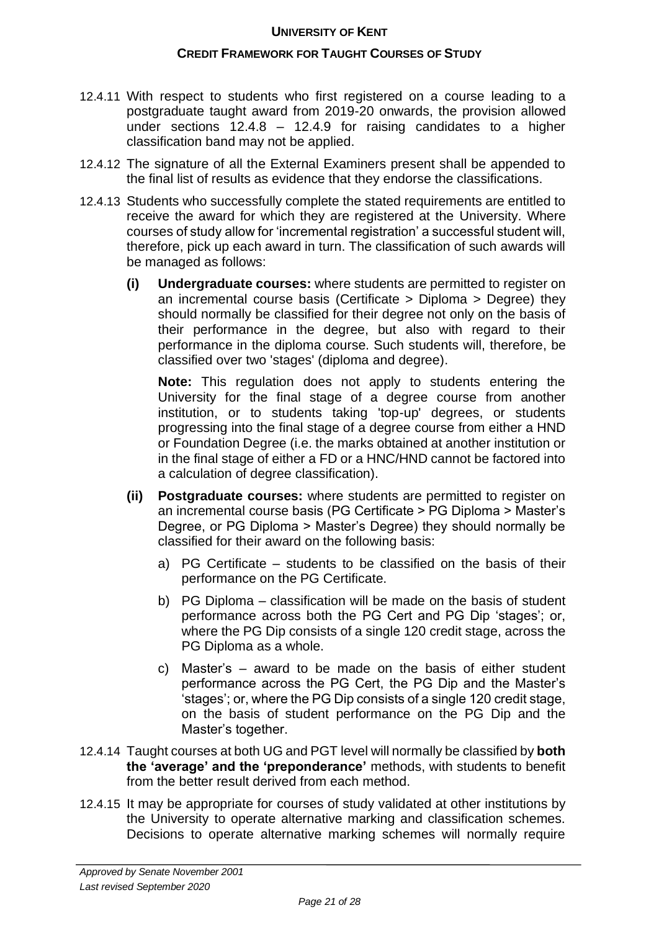#### **CREDIT FRAMEWORK FOR TAUGHT COURSES OF STUDY**

- 12.4.11 With respect to students who first registered on a course leading to a postgraduate taught award from 2019-20 onwards, the provision allowed under sections 12.4.8 – 12.4.9 for raising candidates to a higher classification band may not be applied.
- 12.4.12 The signature of all the External Examiners present shall be appended to the final list of results as evidence that they endorse the classifications.
- 12.4.13 Students who successfully complete the stated requirements are entitled to receive the award for which they are registered at the University. Where courses of study allow for 'incremental registration' a successful student will, therefore, pick up each award in turn. The classification of such awards will be managed as follows:
	- **(i) Undergraduate courses:** where students are permitted to register on an incremental course basis (Certificate > Diploma > Degree) they should normally be classified for their degree not only on the basis of their performance in the degree, but also with regard to their performance in the diploma course. Such students will, therefore, be classified over two 'stages' (diploma and degree).

**Note:** This regulation does not apply to students entering the University for the final stage of a degree course from another institution, or to students taking 'top-up' degrees, or students progressing into the final stage of a degree course from either a HND or Foundation Degree (i.e. the marks obtained at another institution or in the final stage of either a FD or a HNC/HND cannot be factored into a calculation of degree classification).

- **(ii) Postgraduate courses:** where students are permitted to register on an incremental course basis (PG Certificate > PG Diploma > Master's Degree, or PG Diploma > Master's Degree) they should normally be classified for their award on the following basis:
	- a) PG Certificate students to be classified on the basis of their performance on the PG Certificate.
	- b) PG Diploma classification will be made on the basis of student performance across both the PG Cert and PG Dip 'stages'; or, where the PG Dip consists of a single 120 credit stage, across the PG Diploma as a whole.
	- c) Master's award to be made on the basis of either student performance across the PG Cert, the PG Dip and the Master's 'stages'; or, where the PG Dip consists of a single 120 credit stage, on the basis of student performance on the PG Dip and the Master's together.
- 12.4.14 Taught courses at both UG and PGT level will normally be classified by **both the 'average' and the 'preponderance'** methods, with students to benefit from the better result derived from each method.
- 12.4.15 It may be appropriate for courses of study validated at other institutions by the University to operate alternative marking and classification schemes. Decisions to operate alternative marking schemes will normally require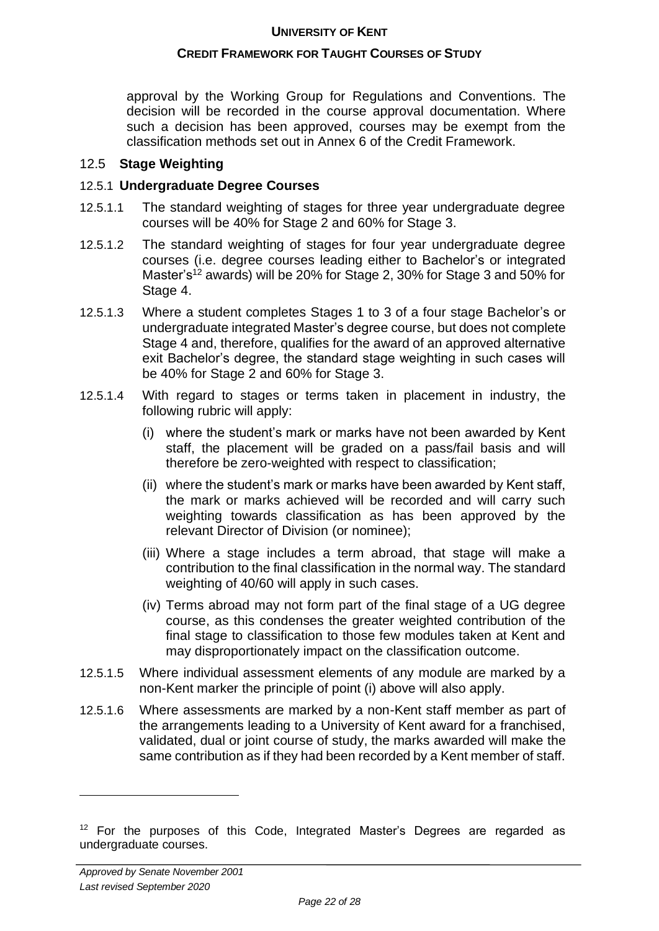## **CREDIT FRAMEWORK FOR TAUGHT COURSES OF STUDY**

approval by the Working Group for Regulations and Conventions. The decision will be recorded in the course approval documentation. Where such a decision has been approved, courses may be exempt from the classification methods set out in Annex 6 of the Credit Framework.

#### 12.5 **Stage Weighting**

## 12.5.1 **Undergraduate Degree Courses**

- 12.5.1.1 The standard weighting of stages for three year undergraduate degree courses will be 40% for Stage 2 and 60% for Stage 3.
- 12.5.1.2 The standard weighting of stages for four year undergraduate degree courses (i.e. degree courses leading either to Bachelor's or integrated Master's<sup>12</sup> awards) will be 20% for Stage 2, 30% for Stage 3 and 50% for Stage 4.
- 12.5.1.3 Where a student completes Stages 1 to 3 of a four stage Bachelor's or undergraduate integrated Master's degree course, but does not complete Stage 4 and, therefore, qualifies for the award of an approved alternative exit Bachelor's degree, the standard stage weighting in such cases will be 40% for Stage 2 and 60% for Stage 3.
- 12.5.1.4 With regard to stages or terms taken in placement in industry, the following rubric will apply:
	- (i) where the student's mark or marks have not been awarded by Kent staff, the placement will be graded on a pass/fail basis and will therefore be zero-weighted with respect to classification;
	- (ii) where the student's mark or marks have been awarded by Kent staff, the mark or marks achieved will be recorded and will carry such weighting towards classification as has been approved by the relevant Director of Division (or nominee);
	- (iii) Where a stage includes a term abroad, that stage will make a contribution to the final classification in the normal way. The standard weighting of 40/60 will apply in such cases.
	- (iv) Terms abroad may not form part of the final stage of a UG degree course, as this condenses the greater weighted contribution of the final stage to classification to those few modules taken at Kent and may disproportionately impact on the classification outcome.
- 12.5.1.5 Where individual assessment elements of any module are marked by a non-Kent marker the principle of point (i) above will also apply.
- 12.5.1.6 Where assessments are marked by a non-Kent staff member as part of the arrangements leading to a University of Kent award for a franchised, validated, dual or joint course of study, the marks awarded will make the same contribution as if they had been recorded by a Kent member of staff.

<sup>&</sup>lt;sup>12</sup> For the purposes of this Code, Integrated Master's Degrees are regarded as undergraduate courses.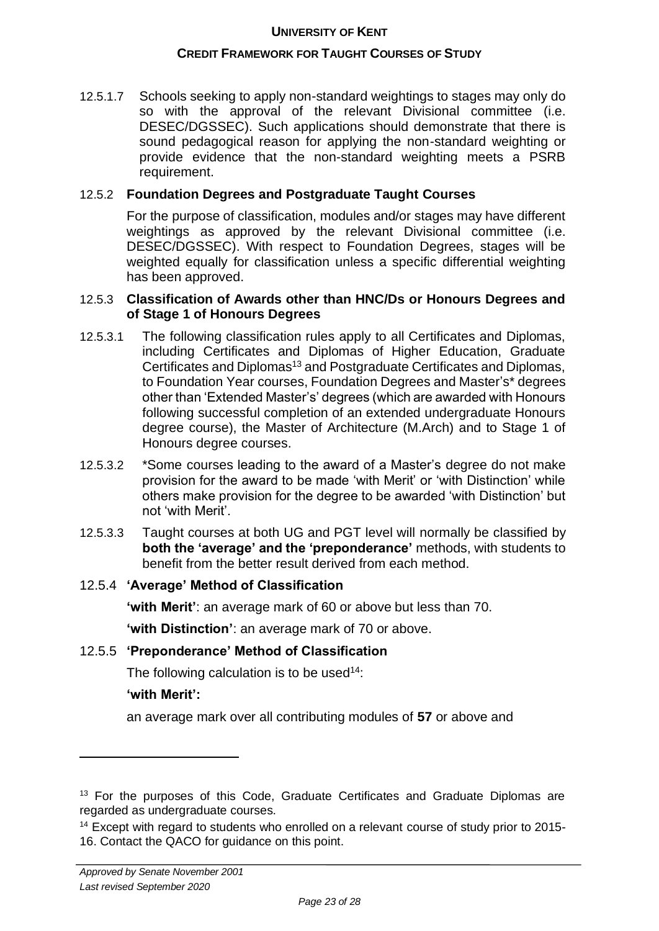#### **CREDIT FRAMEWORK FOR TAUGHT COURSES OF STUDY**

12.5.1.7 Schools seeking to apply non-standard weightings to stages may only do so with the approval of the relevant Divisional committee (i.e. DESEC/DGSSEC). Such applications should demonstrate that there is sound pedagogical reason for applying the non-standard weighting or provide evidence that the non-standard weighting meets a PSRB requirement.

#### 12.5.2 **Foundation Degrees and Postgraduate Taught Courses**

For the purpose of classification, modules and/or stages may have different weightings as approved by the relevant Divisional committee (i.e. DESEC/DGSSEC). With respect to Foundation Degrees, stages will be weighted equally for classification unless a specific differential weighting has been approved.

#### 12.5.3 **Classification of Awards other than HNC/Ds or Honours Degrees and of Stage 1 of Honours Degrees**

- 12.5.3.1 The following classification rules apply to all Certificates and Diplomas, including Certificates and Diplomas of Higher Education, Graduate Certificates and Diplomas<sup>13</sup> and Postgraduate Certificates and Diplomas, to Foundation Year courses, Foundation Degrees and Master's\* degrees other than 'Extended Master's' degrees (which are awarded with Honours following successful completion of an extended undergraduate Honours degree course), the Master of Architecture (M.Arch) and to Stage 1 of Honours degree courses.
- 12.5.3.2 \*Some courses leading to the award of a Master's degree do not make provision for the award to be made 'with Merit' or 'with Distinction' while others make provision for the degree to be awarded 'with Distinction' but not 'with Merit'.
- 12.5.3.3 Taught courses at both UG and PGT level will normally be classified by **both the 'average' and the 'preponderance'** methods, with students to benefit from the better result derived from each method.

#### 12.5.4 **'Average' Method of Classification**

**'with Merit'**: an average mark of 60 or above but less than 70.

**'with Distinction'**: an average mark of 70 or above.

#### 12.5.5 **'Preponderance' Method of Classification**

The following calculation is to be used<sup>14</sup>:

#### **'with Merit':**

an average mark over all contributing modules of **57** or above and

<sup>&</sup>lt;sup>13</sup> For the purposes of this Code, Graduate Certificates and Graduate Diplomas are regarded as undergraduate courses.

<sup>&</sup>lt;sup>14</sup> Except with regard to students who enrolled on a relevant course of study prior to 2015-16. Contact the QACO for guidance on this point.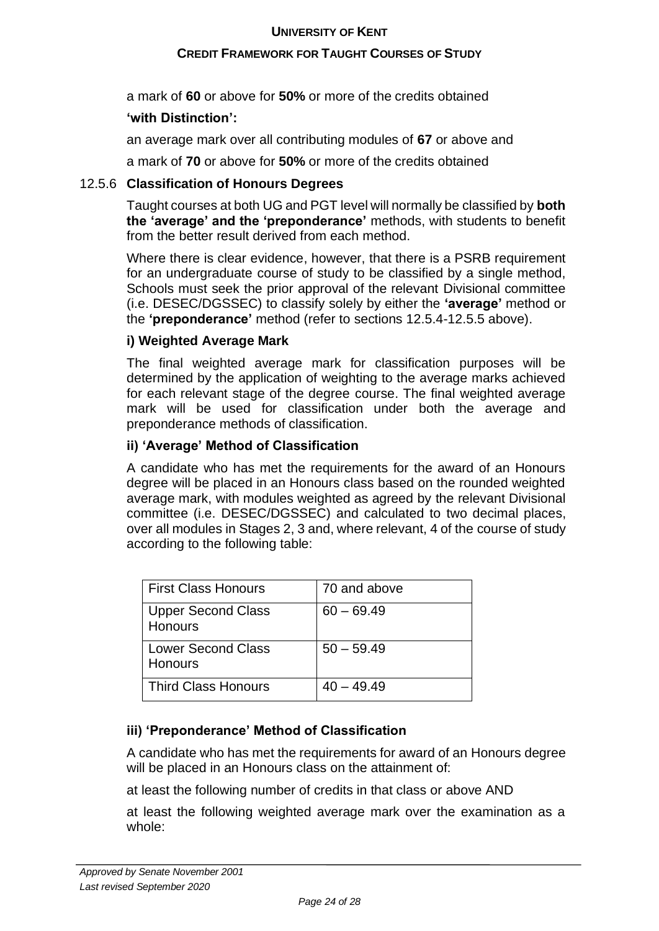## **CREDIT FRAMEWORK FOR TAUGHT COURSES OF STUDY**

a mark of **60** or above for **50%** or more of the credits obtained

## **'with Distinction':**

an average mark over all contributing modules of **67** or above and

a mark of **70** or above for **50%** or more of the credits obtained

## 12.5.6 **Classification of Honours Degrees**

Taught courses at both UG and PGT level will normally be classified by **both the 'average' and the 'preponderance'** methods, with students to benefit from the better result derived from each method.

Where there is clear evidence, however, that there is a PSRB requirement for an undergraduate course of study to be classified by a single method, Schools must seek the prior approval of the relevant Divisional committee (i.e. DESEC/DGSSEC) to classify solely by either the **'average'** method or the **'preponderance'** method (refer to sections 12.5.4-12.5.5 above).

## **i) Weighted Average Mark**

The final weighted average mark for classification purposes will be determined by the application of weighting to the average marks achieved for each relevant stage of the degree course. The final weighted average mark will be used for classification under both the average and preponderance methods of classification.

## **ii) 'Average' Method of Classification**

A candidate who has met the requirements for the award of an Honours degree will be placed in an Honours class based on the rounded weighted average mark, with modules weighted as agreed by the relevant Divisional committee (i.e. DESEC/DGSSEC) and calculated to two decimal places, over all modules in Stages 2, 3 and, where relevant, 4 of the course of study according to the following table:

| <b>First Class Honours</b>                  | 70 and above |
|---------------------------------------------|--------------|
| <b>Upper Second Class</b><br><b>Honours</b> | $60 - 69.49$ |
| <b>Lower Second Class</b><br><b>Honours</b> | $50 - 59.49$ |
| <b>Third Class Honours</b>                  | $40 - 49.49$ |

## **iii) 'Preponderance' Method of Classification**

A candidate who has met the requirements for award of an Honours degree will be placed in an Honours class on the attainment of:

at least the following number of credits in that class or above AND

at least the following weighted average mark over the examination as a whole: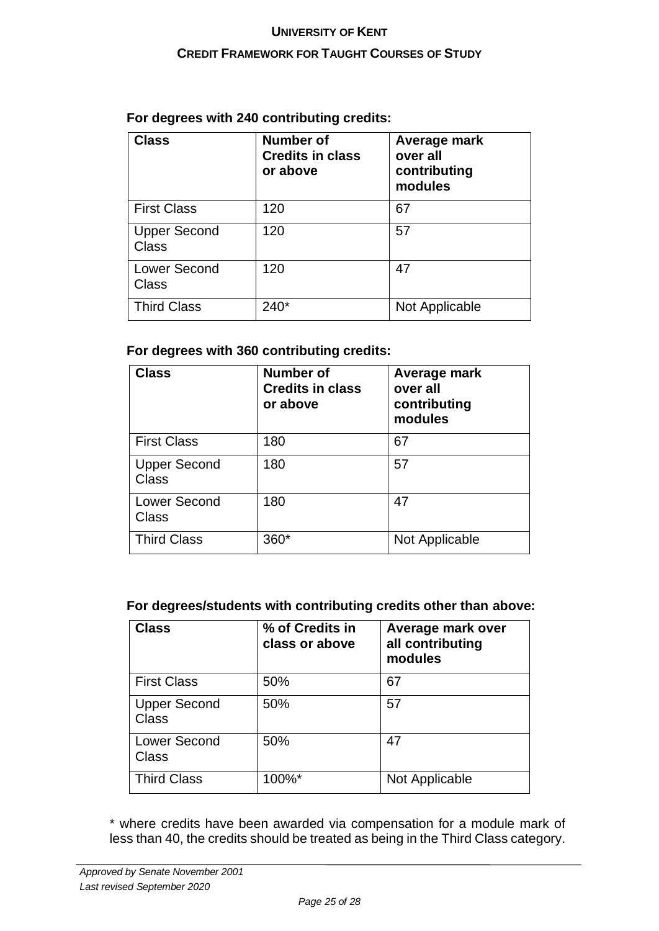#### **CREDIT FRAMEWORK FOR TAUGHT COURSES OF STUDY**

| <b>Class</b>                 | Number of<br><b>Credits in class</b><br>or above | Average mark<br>over all<br>contributing<br>modules |
|------------------------------|--------------------------------------------------|-----------------------------------------------------|
| <b>First Class</b>           | 120                                              | 67                                                  |
| <b>Upper Second</b><br>Class | 120                                              | 57                                                  |
| <b>Lower Second</b><br>Class | 120                                              | 47                                                  |
| <b>Third Class</b>           | $240*$                                           | Not Applicable                                      |

## **For degrees with 240 contributing credits:**

#### **For degrees with 360 contributing credits:**

| <b>Class</b>                        | <b>Number of</b><br><b>Credits in class</b><br>or above | Average mark<br>over all<br>contributing<br>modules |
|-------------------------------------|---------------------------------------------------------|-----------------------------------------------------|
| <b>First Class</b>                  | 180                                                     | 67                                                  |
| <b>Upper Second</b><br><b>Class</b> | 180                                                     | 57                                                  |
| <b>Lower Second</b><br>Class        | 180                                                     | 47                                                  |
| <b>Third Class</b>                  | 360*                                                    | Not Applicable                                      |

#### **For degrees/students with contributing credits other than above:**

| <b>Class</b>                 | % of Credits in<br>class or above | Average mark over<br>all contributing<br>modules |
|------------------------------|-----------------------------------|--------------------------------------------------|
| <b>First Class</b>           | 50%                               | 67                                               |
| <b>Upper Second</b><br>Class | 50%                               | 57                                               |
| <b>Lower Second</b><br>Class | 50%                               | 47                                               |
| <b>Third Class</b>           | 100%*                             | Not Applicable                                   |

\* where credits have been awarded via compensation for a module mark of less than 40, the credits should be treated as being in the Third Class category.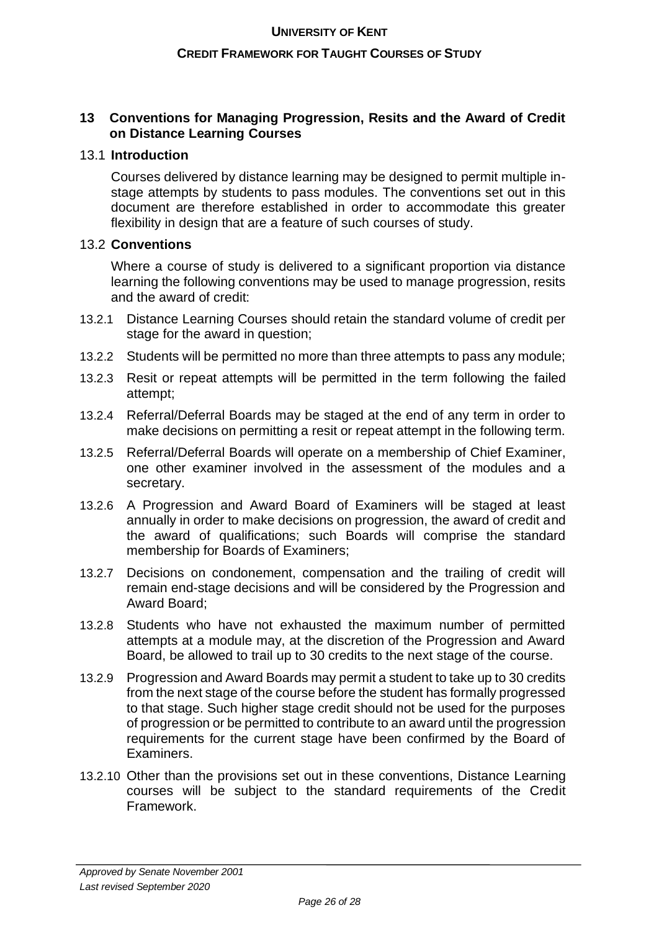#### **CREDIT FRAMEWORK FOR TAUGHT COURSES OF STUDY**

#### **13 Conventions for Managing Progression, Resits and the Award of Credit on Distance Learning Courses**

#### 13.1 **Introduction**

Courses delivered by distance learning may be designed to permit multiple instage attempts by students to pass modules. The conventions set out in this document are therefore established in order to accommodate this greater flexibility in design that are a feature of such courses of study.

## 13.2 **Conventions**

Where a course of study is delivered to a significant proportion via distance learning the following conventions may be used to manage progression, resits and the award of credit:

- 13.2.1 Distance Learning Courses should retain the standard volume of credit per stage for the award in question;
- 13.2.2 Students will be permitted no more than three attempts to pass any module;
- 13.2.3 Resit or repeat attempts will be permitted in the term following the failed attempt;
- 13.2.4 Referral/Deferral Boards may be staged at the end of any term in order to make decisions on permitting a resit or repeat attempt in the following term.
- 13.2.5 Referral/Deferral Boards will operate on a membership of Chief Examiner, one other examiner involved in the assessment of the modules and a secretary.
- 13.2.6 A Progression and Award Board of Examiners will be staged at least annually in order to make decisions on progression, the award of credit and the award of qualifications; such Boards will comprise the standard membership for Boards of Examiners;
- 13.2.7 Decisions on condonement, compensation and the trailing of credit will remain end-stage decisions and will be considered by the Progression and Award Board;
- 13.2.8 Students who have not exhausted the maximum number of permitted attempts at a module may, at the discretion of the Progression and Award Board, be allowed to trail up to 30 credits to the next stage of the course.
- 13.2.9 Progression and Award Boards may permit a student to take up to 30 credits from the next stage of the course before the student has formally progressed to that stage. Such higher stage credit should not be used for the purposes of progression or be permitted to contribute to an award until the progression requirements for the current stage have been confirmed by the Board of Examiners.
- 13.2.10 Other than the provisions set out in these conventions, Distance Learning courses will be subject to the standard requirements of the Credit Framework.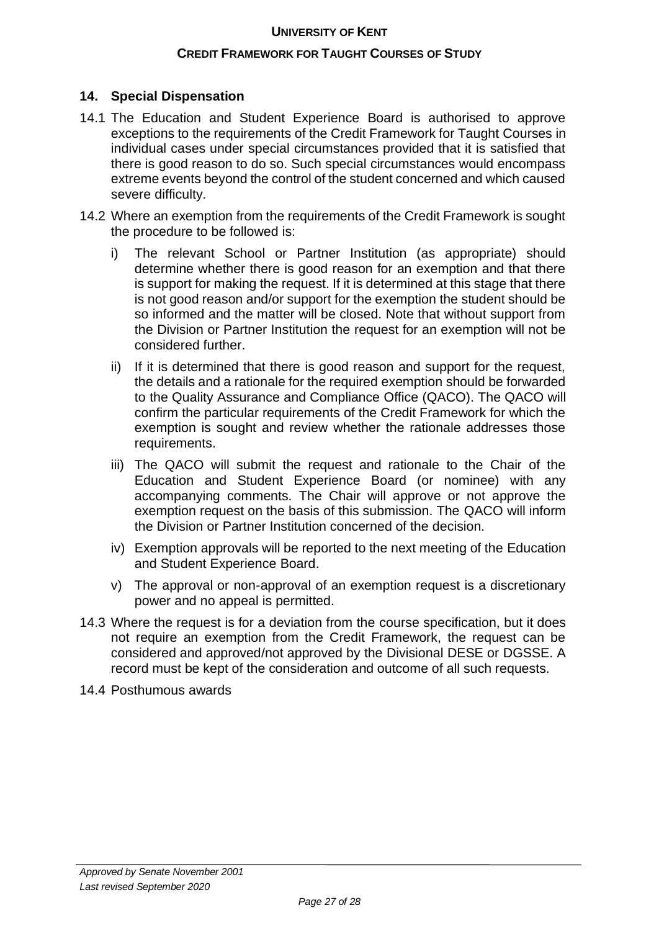#### **CREDIT FRAMEWORK FOR TAUGHT COURSES OF STUDY**

## **14. Special Dispensation**

- 14.1 The Education and Student Experience Board is authorised to approve exceptions to the requirements of the Credit Framework for Taught Courses in individual cases under special circumstances provided that it is satisfied that there is good reason to do so. Such special circumstances would encompass extreme events beyond the control of the student concerned and which caused severe difficulty.
- 14.2 Where an exemption from the requirements of the Credit Framework is sought the procedure to be followed is:
	- i) The relevant School or Partner Institution (as appropriate) should determine whether there is good reason for an exemption and that there is support for making the request. If it is determined at this stage that there is not good reason and/or support for the exemption the student should be so informed and the matter will be closed. Note that without support from the Division or Partner Institution the request for an exemption will not be considered further.
	- ii) If it is determined that there is good reason and support for the request, the details and a rationale for the required exemption should be forwarded to the Quality Assurance and Compliance Office (QACO). The QACO will confirm the particular requirements of the Credit Framework for which the exemption is sought and review whether the rationale addresses those requirements.
	- iii) The QACO will submit the request and rationale to the Chair of the Education and Student Experience Board (or nominee) with any accompanying comments. The Chair will approve or not approve the exemption request on the basis of this submission. The QACO will inform the Division or Partner Institution concerned of the decision.
	- iv) Exemption approvals will be reported to the next meeting of the Education and Student Experience Board.
	- v) The approval or non-approval of an exemption request is a discretionary power and no appeal is permitted.
- 14.3 Where the request is for a deviation from the course specification, but it does not require an exemption from the Credit Framework, the request can be considered and approved/not approved by the Divisional DESE or DGSSE. A record must be kept of the consideration and outcome of all such requests.
- 14.4 Posthumous awards